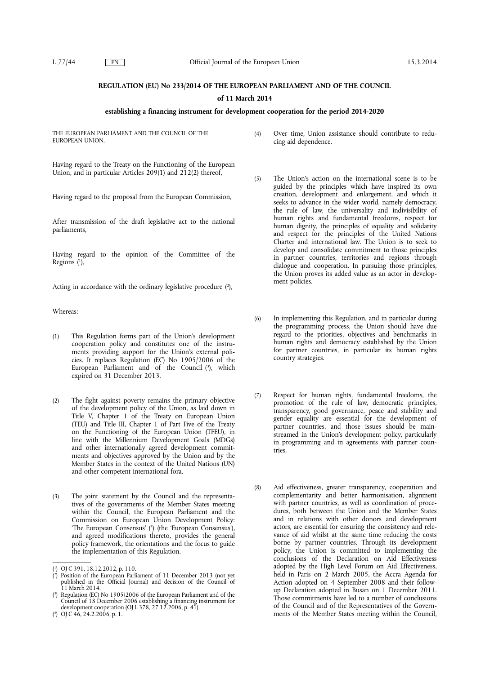# **REGULATION (EU) No 233/2014 OF THE EUROPEAN PARLIAMENT AND OF THE COUNCIL**

### **of 11 March 2014**

### **establishing a financing instrument for development cooperation for the period 2014-2020**

THE EUROPEAN PARLIAMENT AND THE COUNCIL OF THE EUROPEAN UNION,

Having regard to the Treaty on the Functioning of the European Union, and in particular Articles 209(1) and 212(2) thereof,

Having regard to the proposal from the European Commission,

After transmission of the draft legislative act to the national parliaments,

Having regard to the opinion of the Committee of the Regions ( 1 ),

Acting in accordance with the ordinary legislative procedure (2),

Whereas:

- (1) This Regulation forms part of the Union's development cooperation policy and constitutes one of the instruments providing support for the Union's external policies. It replaces Regulation (EC) No 1905/2006 of the European Parliament and of the Council ( 3 ), which expired on 31 December 2013.
- (2) The fight against poverty remains the primary objective of the development policy of the Union, as laid down in Title V, Chapter 1 of the Treaty on European Union (TEU) and Title III, Chapter 1 of Part Five of the Treaty on the Functioning of the European Union (TFEU), in line with the Millennium Development Goals (MDGs) and other internationally agreed development commitments and objectives approved by the Union and by the Member States in the context of the United Nations (UN) and other competent international fora.
- (3) The joint statement by the Council and the representatives of the governments of the Member States meeting within the Council, the European Parliament and the Commission on European Union Development Policy: 'The European Consensus' ( 4 ) (the 'European Consensus'), and agreed modifications thereto, provides the general policy framework, the orientations and the focus to guide the implementation of this Regulation.
- (4) Over time, Union assistance should contribute to reducing aid dependence.
- (5) The Union's action on the international scene is to be guided by the principles which have inspired its own creation, development and enlargement, and which it seeks to advance in the wider world, namely democracy, the rule of law, the universality and indivisibility of human rights and fundamental freedoms, respect for human dignity, the principles of equality and solidarity and respect for the principles of the United Nations Charter and international law. The Union is to seek to develop and consolidate commitment to those principles in partner countries, territories and regions through dialogue and cooperation. In pursuing those principles, the Union proves its added value as an actor in development policies.
- (6) In implementing this Regulation, and in particular during the programming process, the Union should have due regard to the priorities, objectives and benchmarks in human rights and democracy established by the Union for partner countries, in particular its human rights country strategies.
- (7) Respect for human rights, fundamental freedoms, the promotion of the rule of law, democratic principles, transparency, good governance, peace and stability and gender equality are essential for the development of partner countries, and those issues should be mainstreamed in the Union's development policy, particularly in programming and in agreements with partner countries.
- (8) Aid effectiveness, greater transparency, cooperation and complementarity and better harmonisation, alignment with partner countries, as well as coordination of procedures, both between the Union and the Member States and in relations with other donors and development actors, are essential for ensuring the consistency and relevance of aid whilst at the same time reducing the costs borne by partner countries. Through its development policy, the Union is committed to implementing the conclusions of the Declaration on Aid Effectiveness adopted by the High Level Forum on Aid Effectiveness, held in Paris on 2 March 2005, the Accra Agenda for Action adopted on 4 September 2008 and their followup Declaration adopted in Busan on 1 December 2011. Those commitments have led to a number of conclusions of the Council and of the Representatives of the Governments of the Member States meeting within the Council,

<sup>(</sup> 1 ) OJ C 391, 18.12.2012, p. 110.

<sup>(</sup> 2 ) Position of the European Parliament of <sup>11</sup> December <sup>2013</sup> (not yet published in the Official Journal) and decision of the Council of  $\frac{11 \text{ March } 2014.}{\text{Population (EC)}}$ 

<sup>(</sup> ) Regulation (EC) No 1905/2006 of the European Parliament and of the Council of 18 December 2006 establishing a financing instrument for development cooperation (OJ L 378, 27.12.2006, p. 41).

<sup>(</sup> 4 ) OJ C 46, 24.2.2006, p. 1.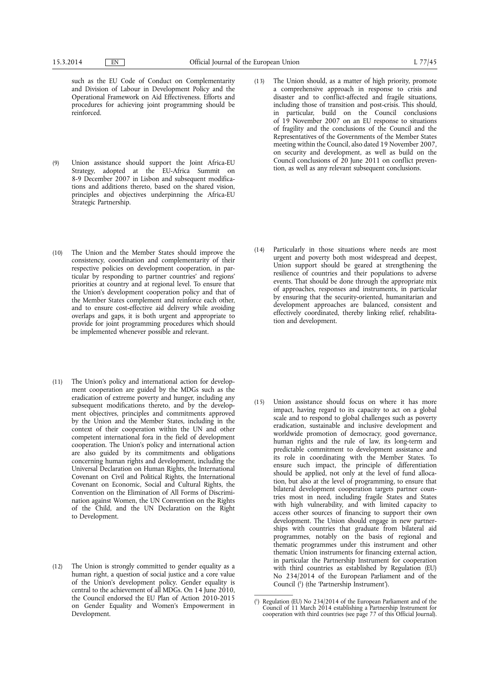such as the EU Code of Conduct on Complementarity and Division of Labour in Development Policy and the Operational Framework on Aid Effectiveness. Efforts and procedures for achieving joint programming should be reinforced.

- (9) Union assistance should support the Joint Africa-EU Strategy, adopted at the EU-Africa Summit on 8-9 December 2007 in Lisbon and subsequent modifications and additions thereto, based on the shared vision, principles and objectives underpinning the Africa-EU Strategic Partnership.
- (10) The Union and the Member States should improve the consistency, coordination and complementarity of their respective policies on development cooperation, in particular by responding to partner countries' and regions' priorities at country and at regional level. To ensure that the Union's development cooperation policy and that of the Member States complement and reinforce each other, and to ensure cost-effective aid delivery while avoiding overlaps and gaps, it is both urgent and appropriate to provide for joint programming procedures which should be implemented whenever possible and relevant.
- (11) The Union's policy and international action for development cooperation are guided by the MDGs such as the eradication of extreme poverty and hunger, including any subsequent modifications thereto, and by the development objectives, principles and commitments approved by the Union and the Member States, including in the context of their cooperation within the UN and other competent international fora in the field of development cooperation. The Union's policy and international action are also guided by its commitments and obligations concerning human rights and development, including the Universal Declaration on Human Rights, the International Covenant on Civil and Political Rights, the International Covenant on Economic, Social and Cultural Rights, the Convention on the Elimination of All Forms of Discrimination against Women, the UN Convention on the Rights of the Child, and the UN Declaration on the Right to Development.
- (12) The Union is strongly committed to gender equality as a human right, a question of social justice and a core value of the Union's development policy. Gender equality is central to the achievement of all MDGs. On 14 June 2010, the Council endorsed the EU Plan of Action 2010-2015 on Gender Equality and Women's Empowerment in Development.

(13) The Union should, as a matter of high priority, promote a comprehensive approach in response to crisis and disaster and to conflict-affected and fragile situations, including those of transition and post-crisis. This should, in particular, build on the Council conclusions of 19 November 2007 on an EU response to situations of fragility and the conclusions of the Council and the Representatives of the Governments of the Member States meeting within the Council, also dated 19 November 2007, on security and development, as well as build on the Council conclusions of 20 June 2011 on conflict prevention, as well as any relevant subsequent conclusions.

(14) Particularly in those situations where needs are most urgent and poverty both most widespread and deepest, Union support should be geared at strengthening the resilience of countries and their populations to adverse events. That should be done through the appropriate mix of approaches, responses and instruments, in particular by ensuring that the security-oriented, humanitarian and development approaches are balanced, consistent and effectively coordinated, thereby linking relief, rehabilitation and development.

(15) Union assistance should focus on where it has more impact, having regard to its capacity to act on a global scale and to respond to global challenges such as poverty eradication, sustainable and inclusive development and worldwide promotion of democracy, good governance, human rights and the rule of law, its long-term and predictable commitment to development assistance and its role in coordinating with the Member States. To ensure such impact, the principle of differentiation should be applied, not only at the level of fund allocation, but also at the level of programming, to ensure that bilateral development cooperation targets partner countries most in need, including fragile States and States with high vulnerability, and with limited capacity to access other sources of financing to support their own development. The Union should engage in new partnerships with countries that graduate from bilateral aid programmes, notably on the basis of regional and thematic programmes under this instrument and other thematic Union instruments for financing external action, in particular the Partnership Instrument for cooperation with third countries as established by Regulation (EU) No 234/2014 of the European Parliament and of the Council ( 1 ) (the 'Partnership Instrument').

<sup>(</sup> 1 ) Regulation (EU) No 234/2014 of the European Parliament and of the Council of 11 March 2014 establishing a Partnership Instrument for cooperation with third countries (see page 77 of this Official Journal).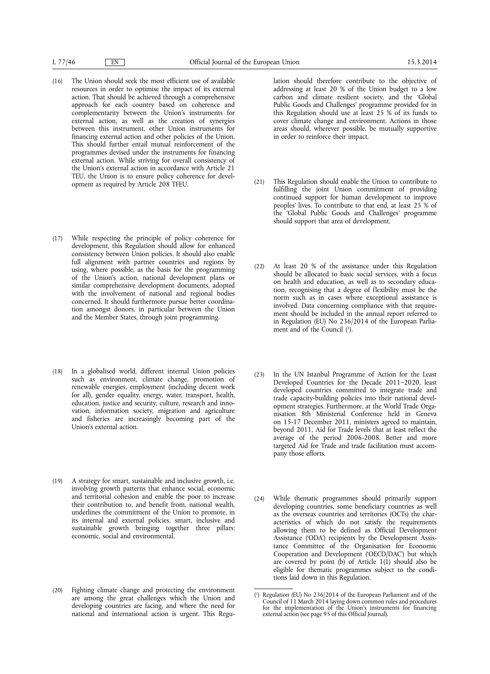- (16) The Union should seek the most efficient use of available resources in order to optimise the impact of its external action. That should be achieved through a comprehensive approach for each country based on coherence and complementarity between the Union's instruments for external action, as well as the creation of synergies between this instrument, other Union instruments for financing external action and other policies of the Union. This should further entail mutual reinforcement of the programmes devised under the instruments for financing external action. While striving for overall consistency of the Union's external action in accordance with Article 21 TEU, the Union is to ensure policy coherence for development as required by Article 208 TFEU.
- (17) While respecting the principle of policy coherence for development, this Regulation should allow for enhanced consistency between Union policies. It should also enable full alignment with partner countries and regions by using, where possible, as the basis for the programming of the Union's action, national development plans or similar comprehensive development documents, adopted with the involvement of national and regional bodies concerned. It should furthermore pursue better coordination amongst donors, in particular between the Union and the Member States, through joint programming.
- (18) In a globalised world, different internal Union policies such as environment, climate change, promotion of renewable energies, employment (including decent work for all), gender equality, energy, water, transport, health, education, justice and security, culture, research and innovation, information society, migration and agriculture and fisheries are increasingly becoming part of the Union's external action.
- (19) A strategy for smart, sustainable and inclusive growth, i.e. involving growth patterns that enhance social, economic and territorial cohesion and enable the poor to increase their contribution to, and benefit from, national wealth, underlines the commitment of the Union to promote, in its internal and external policies, smart, inclusive and sustainable growth bringing together three pillars: economic, social and environmental.
- (20) Fighting climate change and protecting the environment are among the great challenges which the Union and developing countries are facing, and where the need for national and international action is urgent. This Regu-

lation should therefore contribute to the objective of addressing at least 20 % of the Union budget to a low carbon and climate resilient society, and the 'Global Public Goods and Challenges' programme provided for in this Regulation should use at least 25 % of its funds to cover climate change and environment. Actions in those areas should, wherever possible, be mutually supportive in order to reinforce their impact.

- (21) This Regulation should enable the Union to contribute to fulfilling the joint Union commitment of providing continued support for human development to improve peoples' lives. To contribute to that end, at least 25 % of the 'Global Public Goods and Challenges' programme should support that area of development.
- (22) At least 20 % of the assistance under this Regulation should be allocated to basic social services, with a focus on health and education, as well as to secondary education, recognising that a degree of flexibility must be the norm such as in cases where exceptional assistance is involved. Data concerning compliance with that requirement should be included in the annual report referred to in Regulation (EU) No 236/2014 of the European Parliament and of the Council ( 1 ).
- (23) In the UN Istanbul Programme of Action for the Least Developed Countries for the Decade 2011–2020, least developed countries committed to integrate trade and trade capacity-building policies into their national development strategies. Furthermore, at the World Trade Organisation 8th Ministerial Conference held in Geneva on 15-17 December 2011, ministers agreed to maintain, beyond 2011, Aid for Trade levels that at least reflect the average of the period 2006-2008. Better and more targeted Aid for Trade and trade facilitation must accompany those efforts.
- (24) While thematic programmes should primarily support developing countries, some beneficiary countries as well as the overseas countries and territories (OCTs) the characteristics of which do not satisfy the requirements allowing them to be defined as Official Development Assistance ('ODA') recipients by the Development Assistance Committee of the Organisation for Economic Cooperation and Development ('OECD/DAC') but which are covered by point (b) of Article 1(1) should also be eligible for thematic programmes subject to the conditions laid down in this Regulation.

<sup>(</sup> 1 ) Regulation (EU) No 236/2014 of the European Parliament and of the Council of 11 March 2014 laying down common rules and procedures for the implementation of the Union's instruments for financing external action (see page 95 of this Official Journal).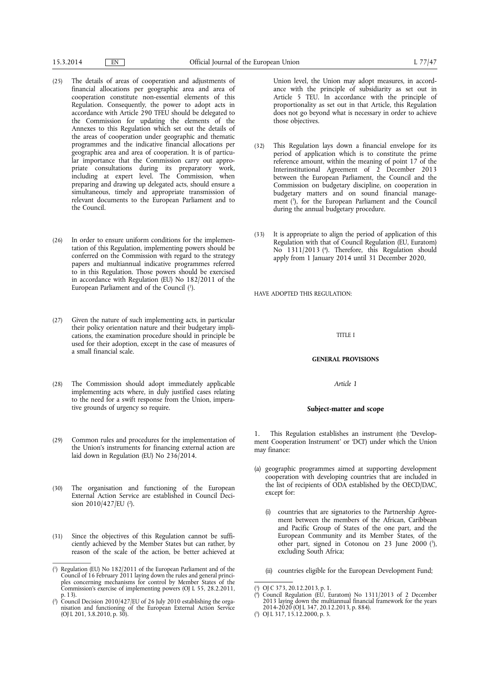- (25) The details of areas of cooperation and adjustments of financial allocations per geographic area and area of cooperation constitute non-essential elements of this Regulation. Consequently, the power to adopt acts in accordance with Article 290 TFEU should be delegated to the Commission for updating the elements of the Annexes to this Regulation which set out the details of the areas of cooperation under geographic and thematic programmes and the indicative financial allocations per geographic area and area of cooperation. It is of particular importance that the Commission carry out appropriate consultations during its preparatory work, including at expert level. The Commission, when preparing and drawing up delegated acts, should ensure a simultaneous, timely and appropriate transmission of relevant documents to the European Parliament and to the Council.
- (26) In order to ensure uniform conditions for the implementation of this Regulation, implementing powers should be conferred on the Commission with regard to the strategy papers and multiannual indicative programmes referred to in this Regulation. Those powers should be exercised in accordance with Regulation (EU) No 182/2011 of the European Parliament and of the Council ( 1 ).
- (27) Given the nature of such implementing acts, in particular their policy orientation nature and their budgetary implications, the examination procedure should in principle be used for their adoption, except in the case of measures of a small financial scale.
- (28) The Commission should adopt immediately applicable implementing acts where, in duly justified cases relating to the need for a swift response from the Union, imperative grounds of urgency so require.
- (29) Common rules and procedures for the implementation of the Union's instruments for financing external action are laid down in Regulation (EU) No 236/2014.
- (30) The organisation and functioning of the European External Action Service are established in Council Decision 2010/427/EU (2).
- (31) Since the objectives of this Regulation cannot be sufficiently achieved by the Member States but can rather, by reason of the scale of the action, be better achieved at
- (32) This Regulation lays down a financial envelope for its period of application which is to constitute the prime reference amount, within the meaning of point 17 of the Interinstitutional Agreement of 2 December 2013 between the European Parliament, the Council and the Commission on budgetary discipline, on cooperation in budgetary matters and on sound financial management ( 3 ), for the European Parliament and the Council during the annual budgetary procedure.
- (33) It is appropriate to align the period of application of this Regulation with that of Council Regulation (EU, Euratom) No 1311/2013 ( 4 ). Therefore, this Regulation should apply from 1 January 2014 until 31 December 2020,

HAVE ADOPTED THIS REGULATION:

### TITLE I

#### **GENERAL PROVISIONS**

*Article 1*

#### **Subject-matter and scope**

1. This Regulation establishes an instrument (the 'Development Cooperation Instrument' or 'DCI') under which the Union may finance:

- (a) geographic programmes aimed at supporting development cooperation with developing countries that are included in the list of recipients of ODA established by the OECD/DAC, except for:
	- (i) countries that are signatories to the Partnership Agreement between the members of the African, Caribbean and Pacific Group of States of the one part, and the European Community and its Member States, of the other part, signed in Cotonou on 23 June 2000 (5), excluding South Africa;
	- (ii) countries eligible for the European Development Fund;

<sup>(</sup> 1 ) Regulation (EU) No 182/2011 of the European Parliament and of the Council of 16 February 2011 laying down the rules and general principles concerning mechanisms for control by Member States of the Commission's exercise of implementing powers (OJ L 55, 28.2.2011, p. 13).

 $($ <sup>2</sup> ) Council Decision 2010/427/EU of 26 July 2010 establishing the organisation and functioning of the European External Action Service (OJ L 201, 3.8.2010, p. 30).

<sup>(</sup> 3 ) OJ C 373, 20.12.2013, p. 1. 4

<sup>(</sup> ) Council Regulation (EU, Euratom) No 1311/2013 of 2 December 2013 laying down the multiannual financial framework for the years 2014-2020 (OJ L 347, 20.12.2013, p. 884).

<sup>(</sup> 5 ) OJ L 317, 15.12.2000, p. 3.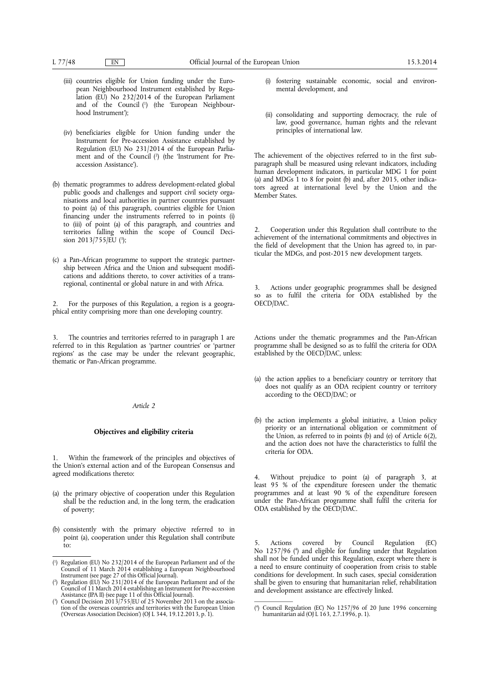- (iii) countries eligible for Union funding under the European Neighbourhood Instrument established by Regulation (EU) No 232/2014 of the European Parliament and of the Council ( 1 ) (the 'European Neighbourhood Instrument');
- (iv) beneficiaries eligible for Union funding under the Instrument for Pre-accession Assistance established by Regulation (EU) No 231/2014 of the European Parliament and of the Council ( 2 ) (the 'Instrument for Preaccession Assistance').
- (b) thematic programmes to address development-related global public goods and challenges and support civil society organisations and local authorities in partner countries pursuant to point (a) of this paragraph, countries eligible for Union financing under the instruments referred to in points (i) to (iii) of point (a) of this paragraph, and countries and territories falling within the scope of Council Decision 2013/755/EU (3);
- (c) a Pan-African programme to support the strategic partnership between Africa and the Union and subsequent modifications and additions thereto, to cover activities of a transregional, continental or global nature in and with Africa.

2. For the purposes of this Regulation, a region is a geographical entity comprising more than one developing country.

3. The countries and territories referred to in paragraph 1 are referred to in this Regulation as 'partner countries' or 'partner regions' as the case may be under the relevant geographic, thematic or Pan-African programme.

### *Article 2*

### **Objectives and eligibility criteria**

Within the framework of the principles and objectives of the Union's external action and of the European Consensus and agreed modifications thereto:

- (a) the primary objective of cooperation under this Regulation shall be the reduction and, in the long term, the eradication of poverty;
- (b) consistently with the primary objective referred to in point (a), cooperation under this Regulation shall contribute to:
- (i) fostering sustainable economic, social and environmental development, and
- (ii) consolidating and supporting democracy, the rule of law, good governance, human rights and the relevant principles of international law.

The achievement of the objectives referred to in the first subparagraph shall be measured using relevant indicators, including human development indicators, in particular MDG 1 for point (a) and MDGs 1 to 8 for point (b) and, after 2015, other indicators agreed at international level by the Union and the Member States.

2. Cooperation under this Regulation shall contribute to the achievement of the international commitments and objectives in the field of development that the Union has agreed to, in particular the MDGs, and post-2015 new development targets.

3. Actions under geographic programmes shall be designed so as to fulfil the criteria for ODA established by the OECD/DAC.

Actions under the thematic programmes and the Pan-African programme shall be designed so as to fulfil the criteria for ODA established by the OECD/DAC, unless:

- (a) the action applies to a beneficiary country or territory that does not qualify as an ODA recipient country or territory according to the OECD/DAC; or
- (b) the action implements a global initiative, a Union policy priority or an international obligation or commitment of the Union, as referred to in points (b) and (e) of Article 6(2), and the action does not have the characteristics to fulfil the criteria for ODA.

4. Without prejudice to point (a) of paragraph 3, at least 95 % of the expenditure foreseen under the thematic programmes and at least 90 % of the expenditure foreseen under the Pan-African programme shall fulfil the criteria for ODA established by the OECD/DAC.

5. Actions covered by Council Regulation (EC) No 1257/96 ( 4 ) and eligible for funding under that Regulation shall not be funded under this Regulation, except where there is a need to ensure continuity of cooperation from crisis to stable conditions for development. In such cases, special consideration shall be given to ensuring that humanitarian relief, rehabilitation and development assistance are effectively linked.

<sup>(</sup> 1 ) Regulation (EU) No 232/2014 of the European Parliament and of the Council of 11 March 2014 establishing a European Neighbourhood Instrument (see page 27 of this Official Journal).

<sup>(</sup> 2 ) Regulation (EU) No 231/2014 of the European Parliament and of the Council of 11 March 2014 establishing an Instrument for Pre-accession Assistance (IPA II) (see page 11 of this Official Journal).

<sup>(</sup> 3 ) Council Decision 2013/755/EU of 25 November 2013 on the association of the overseas countries and territories with the European Union ('Overseas Association Decision') (OJ L 344, 19.12.2013, p. 1).

 $($ <sup>4</sup> ) Council Regulation (EC) No 1257/96 of 20 June 1996 concerning humanitarian aid (OJ L 163, 2.7.1996, p. 1).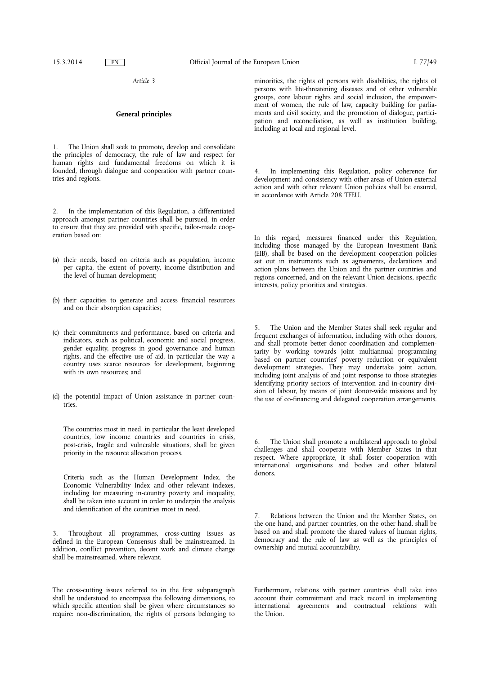*Article 3*

### **General principles**

1. The Union shall seek to promote, develop and consolidate the principles of democracy, the rule of law and respect for human rights and fundamental freedoms on which it is founded, through dialogue and cooperation with partner countries and regions.

2. In the implementation of this Regulation, a differentiated approach amongst partner countries shall be pursued, in order to ensure that they are provided with specific, tailor-made cooperation based on:

- (a) their needs, based on criteria such as population, income per capita, the extent of poverty, income distribution and the level of human development;
- (b) their capacities to generate and access financial resources and on their absorption capacities;
- (c) their commitments and performance, based on criteria and indicators, such as political, economic and social progress, gender equality, progress in good governance and human rights, and the effective use of aid, in particular the way a country uses scarce resources for development, beginning with its own resources; and
- (d) the potential impact of Union assistance in partner countries.

The countries most in need, in particular the least developed countries, low income countries and countries in crisis, post-crisis, fragile and vulnerable situations, shall be given priority in the resource allocation process.

Criteria such as the Human Development Index, the Economic Vulnerability Index and other relevant indexes, including for measuring in-country poverty and inequality, shall be taken into account in order to underpin the analysis and identification of the countries most in need.

Throughout all programmes, cross-cutting issues as defined in the European Consensus shall be mainstreamed. In addition, conflict prevention, decent work and climate change shall be mainstreamed, where relevant.

The cross-cutting issues referred to in the first subparagraph shall be understood to encompass the following dimensions, to which specific attention shall be given where circumstances so require: non-discrimination, the rights of persons belonging to minorities, the rights of persons with disabilities, the rights of persons with life-threatening diseases and of other vulnerable groups, core labour rights and social inclusion, the empowerment of women, the rule of law, capacity building for parliaments and civil society, and the promotion of dialogue, participation and reconciliation, as well as institution building, including at local and regional level.

In implementing this Regulation, policy coherence for development and consistency with other areas of Union external action and with other relevant Union policies shall be ensured, in accordance with Article 208 TFEU.

In this regard, measures financed under this Regulation, including those managed by the European Investment Bank (EIB), shall be based on the development cooperation policies set out in instruments such as agreements, declarations and action plans between the Union and the partner countries and regions concerned, and on the relevant Union decisions, specific interests, policy priorities and strategies.

The Union and the Member States shall seek regular and frequent exchanges of information, including with other donors, and shall promote better donor coordination and complementarity by working towards joint multiannual programming based on partner countries' poverty reduction or equivalent development strategies. They may undertake joint action, including joint analysis of and joint response to those strategies identifying priority sectors of intervention and in-country division of labour, by means of joint donor-wide missions and by the use of co-financing and delegated cooperation arrangements.

6. The Union shall promote a multilateral approach to global challenges and shall cooperate with Member States in that respect. Where appropriate, it shall foster cooperation with international organisations and bodies and other bilateral donors.

7. Relations between the Union and the Member States, on the one hand, and partner countries, on the other hand, shall be based on and shall promote the shared values of human rights, democracy and the rule of law as well as the principles of ownership and mutual accountability.

Furthermore, relations with partner countries shall take into account their commitment and track record in implementing international agreements and contractual relations with the Union.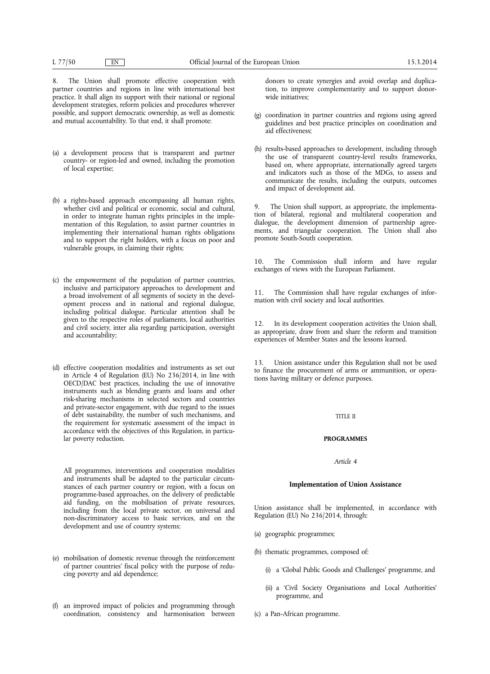8. The Union shall promote effective cooperation with partner countries and regions in line with international best practice. It shall align its support with their national or regional development strategies, reform policies and procedures wherever possible, and support democratic ownership, as well as domestic and mutual accountability. To that end, it shall promote:

- (a) a development process that is transparent and partner country- or region-led and owned, including the promotion of local expertise;
- (b) a rights-based approach encompassing all human rights, whether civil and political or economic, social and cultural, in order to integrate human rights principles in the implementation of this Regulation, to assist partner countries in implementing their international human rights obligations and to support the right holders, with a focus on poor and vulnerable groups, in claiming their rights;
- (c) the empowerment of the population of partner countries, inclusive and participatory approaches to development and a broad involvement of all segments of society in the development process and in national and regional dialogue, including political dialogue. Particular attention shall be given to the respective roles of parliaments, local authorities and civil society, inter alia regarding participation, oversight and accountability;
- (d) effective cooperation modalities and instruments as set out in Article 4 of Regulation (EU) No 236/2014, in line with OECD/DAC best practices, including the use of innovative instruments such as blending grants and loans and other risk-sharing mechanisms in selected sectors and countries and private-sector engagement, with due regard to the issues of debt sustainability, the number of such mechanisms, and the requirement for systematic assessment of the impact in accordance with the objectives of this Regulation, in particular poverty reduction.

All programmes, interventions and cooperation modalities and instruments shall be adapted to the particular circumstances of each partner country or region, with a focus on programme-based approaches, on the delivery of predictable aid funding, on the mobilisation of private resources, including from the local private sector, on universal and non-discriminatory access to basic services, and on the development and use of country systems;

- (e) mobilisation of domestic revenue through the reinforcement of partner countries' fiscal policy with the purpose of reducing poverty and aid dependence;
- (f) an improved impact of policies and programming through coordination, consistency and harmonisation between

donors to create synergies and avoid overlap and duplication, to improve complementarity and to support donorwide initiatives;

- (g) coordination in partner countries and regions using agreed guidelines and best practice principles on coordination and aid effectiveness;
- (h) results-based approaches to development, including through the use of transparent country-level results frameworks, based on, where appropriate, internationally agreed targets and indicators such as those of the MDGs, to assess and communicate the results, including the outputs, outcomes and impact of development aid.

9. The Union shall support, as appropriate, the implementation of bilateral, regional and multilateral cooperation and dialogue, the development dimension of partnership agreements, and triangular cooperation. The Union shall also promote South-South cooperation.

10. The Commission shall inform and have regular exchanges of views with the European Parliament.

11. The Commission shall have regular exchanges of information with civil society and local authorities.

In its development cooperation activities the Union shall, as appropriate, draw from and share the reform and transition experiences of Member States and the lessons learned.

13. Union assistance under this Regulation shall not be used to finance the procurement of arms or ammunition, or operations having military or defence purposes.

#### TITLE II

### **PROGRAMMES**

### *Article 4*

### **Implementation of Union Assistance**

Union assistance shall be implemented, in accordance with Regulation (EU) No 236/2014, through:

- (a) geographic programmes;
- (b) thematic programmes, composed of:
	- (i) a 'Global Public Goods and Challenges' programme, and
	- (ii) a 'Civil Society Organisations and Local Authorities' programme, and
- (c) a Pan-African programme.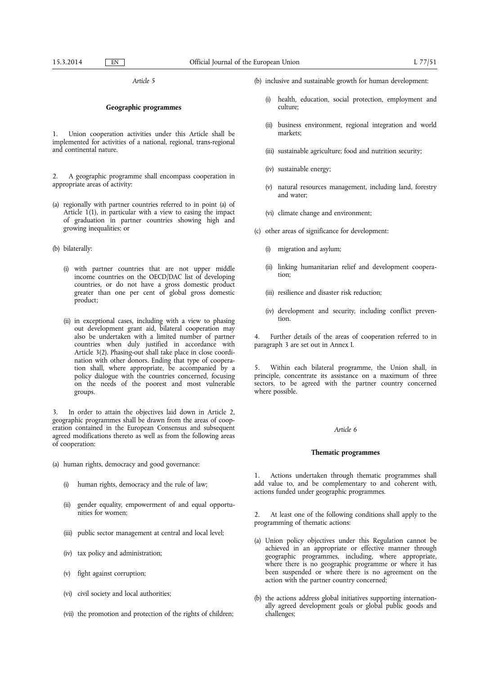# **Geographic** programmes

1. Union cooperation activities under this Article shall be implemented for activities of a national, regional, trans-regional

2. A geographic programme shall encompass cooperation in

- (a) regionally with partner countries referred to in point (a) of Article  $1(1)$ , in particular with a view to easing the impact (vi) climate change and environment; of graduation in partner countries showing high and
- - countries, or do not have a gross domestic product greater than one per cent of global gross domestic (iii) resilience and disaster risk reduction; product;
	- (ii) in exceptional cases, including with a view to phasing tion. out development grant aid, bilateral cooperation may countries when duly justified in accordance with Article 3(2). Phasing-out shall take place in close coordination with other donors. Ending that type of cooperaon the needs of the poorest and most vulnerable groups. **the properties of the contract of the contract of the contract of the contract of the contract of the contract of the contract of the contract of the contract of the contract of the contract of the contract of the**

3. In order to attain the objectives laid down in Article 2, geographic programmes shall be drawn from the areas of cooperation contained in the European Consensus and subsequent *Article 6* agreed modifications thereto as well as from the following areas of cooperation:

- (a) human rights, democracy and good governance:
	-
	- (ii) gender equality, empowerment of and equal opportu-
	- (iii) public sector management at central and local level;
	-
	-
	-
	- (vii) the promotion and protection of the rights of children; challenges;
- *Article 5* (b) inclusive and sustainable growth for human development:
	- (i) health, education, social protection, employment and
	- (ii) business environment, regional integration and world
	- (iii) sustainable agriculture; food and nutrition security;
	- (iv) sustainable energy;
	- (v) natural resources management, including land, forestry and water;
	-
	- (c) other areas of significance for development:
- (b) bilaterally: (b) bilaterally: (c) example  $($ i) migration and asylum;
	- (i) with partner countries that are not upper middle (ii) linking humanitarian relief and development coopera-<br>income countries on the OECD/DAC list of developing tion;
		-
		- (iv) development and security, including conflict preven-

4. Further details of the areas of cooperation referred to in paragraph 3 are set out in Annex I.

tion shall, where appropriate, be accompanied by a 5. Within each bilateral programme, the Union shall, in policy dialogue with the countries concerned, focusing principle, concentrate its assistance on a maximum of three policy dialogue with the countries concerned, focusing principle, concentrate its assistance on a maximum of three<br>on the needs of the poorest and most vulnerable sectors, to be agreed with the partner country concerned

### **Thematic programmes**

1. Actions undertaken through thematic programmes shall (i) human rights, democracy and the rule of law; add value to, and be complementary to and coherent with, actions funded under geographic programmes.

nities for women; 2. At least one of the following conditions shall apply to the programming of thematic actions:

- (a) Union policy objectives under this Regulation cannot be achieved in an appropriate or effective manner through (iv) tax policy and administration; geographic programmes, including, where appropriate, where there is no geographic programme or where it has (v) fight against corruption; been suspended or where there is no agreement on the action with the partner country concerned;
- (vi) civil society and local authorities; (b) the actions address global initiatives supporting internationally agreed development goals or global public goods and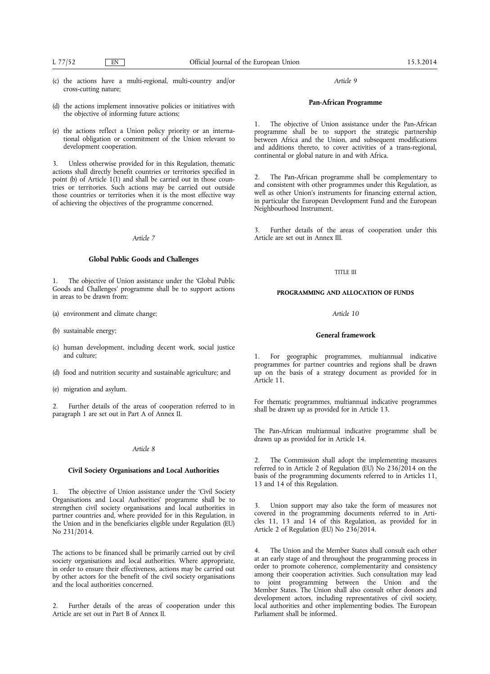- (c) the actions have a multi-regional, multi-country and/or cross-cutting nature;
- (d) the actions implement innovative policies or initiatives with the objective of informing future actions;
- (e) the actions reflect a Union policy priority or an international obligation or commitment of the Union relevant to development cooperation.

3. Unless otherwise provided for in this Regulation, thematic actions shall directly benefit countries or territories specified in point (b) of Article 1(1) and shall be carried out in those countries or territories. Such actions may be carried out outside those countries or territories when it is the most effective way of achieving the objectives of the programme concerned.

# *Article 7*

### **Global Public Goods and Challenges**

1. The objective of Union assistance under the 'Global Public Goods and Challenges' programme shall be to support actions in areas to be drawn from:

- (a) environment and climate change;
- (b) sustainable energy;
- (c) human development, including decent work, social justice and culture;
- (d) food and nutrition security and sustainable agriculture; and
- (e) migration and asylum.

2. Further details of the areas of cooperation referred to in paragraph 1 are set out in Part A of Annex II.

#### *Article 8*

### **Civil Society Organisations and Local Authorities**

The objective of Union assistance under the 'Civil Society Organisations and Local Authorities' programme shall be to strengthen civil society organisations and local authorities in partner countries and, where provided for in this Regulation, in the Union and in the beneficiaries eligible under Regulation (EU) No 231/2014.

The actions to be financed shall be primarily carried out by civil society organisations and local authorities. Where appropriate, in order to ensure their effectiveness, actions may be carried out by other actors for the benefit of the civil society organisations and the local authorities concerned.

2. Further details of the areas of cooperation under this Article are set out in Part B of Annex II.

*Article 9*

# **Pan-African Programme**

The objective of Union assistance under the Pan-African programme shall be to support the strategic partnership between Africa and the Union, and subsequent modifications and additions thereto, to cover activities of a trans-regional, continental or global nature in and with Africa.

2. The Pan-African programme shall be complementary to and consistent with other programmes under this Regulation, as well as other Union's instruments for financing external action, in particular the European Development Fund and the European Neighbourhood Instrument.

3. Further details of the areas of cooperation under this Article are set out in Annex III.

### TITLE III

### **PROGRAMMING AND ALLOCATION OF FUNDS**

### *Article 10*

#### **General framework**

1. For geographic programmes, multiannual indicative programmes for partner countries and regions shall be drawn up on the basis of a strategy document as provided for in Article 11.

For thematic programmes, multiannual indicative programmes shall be drawn up as provided for in Article 13.

The Pan-African multiannual indicative programme shall be drawn up as provided for in Article 14.

2. The Commission shall adopt the implementing measures referred to in Article 2 of Regulation (EU) No 236/2014 on the basis of the programming documents referred to in Articles 11, 13 and 14 of this Regulation.

3. Union support may also take the form of measures not covered in the programming documents referred to in Articles 11, 13 and 14 of this Regulation, as provided for in Article 2 of Regulation (EU) No 236/2014.

4. The Union and the Member States shall consult each other at an early stage of and throughout the programming process in order to promote coherence, complementarity and consistency among their cooperation activities. Such consultation may lead to joint programming between the Union and the Member States. The Union shall also consult other donors and development actors, including representatives of civil society, local authorities and other implementing bodies. The European Parliament shall be informed.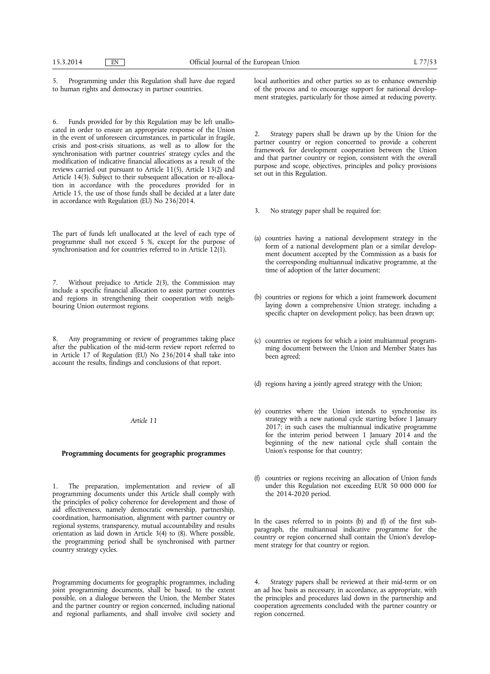5. Programming under this Regulation shall have due regard to human rights and democracy in partner countries.

6. Funds provided for by this Regulation may be left unallocated in order to ensure an appropriate response of the Union in the event of unforeseen circumstances, in particular in fragile, crisis and post-crisis situations, as well as to allow for the synchronisation with partner countries' strategy cycles and the modification of indicative financial allocations as a result of the reviews carried out pursuant to Article 11(5), Article 13(2) and Article 14(3). Subject to their subsequent allocation or re-allocation in accordance with the procedures provided for in Article 15, the use of those funds shall be decided at a later date in accordance with Regulation (EU) No 236/2014.

The part of funds left unallocated at the level of each type of programme shall not exceed 5 %, except for the purpose of synchronisation and for countries referred to in Article 12(1).

7. Without prejudice to Article 2(3), the Commission may include a specific financial allocation to assist partner countries and regions in strengthening their cooperation with neighbouring Union outermost regions.

8. Any programming or review of programmes taking place after the publication of the mid-term review report referred to in Article 17 of Regulation (EU) No 236/2014 shall take into account the results, findings and conclusions of that report.

# **Programming documents for geographic programmes**

The preparation, implementation and review of all programming documents under this Article shall comply with the principles of policy coherence for development and those of aid effectiveness, namely democratic ownership, partnership, coordination, harmonisation, alignment with partner country or regional systems, transparency, mutual accountability and results orientation as laid down in Article 3(4) to (8). Where possible, the programming period shall be synchronised with partner country strategy cycles.

Programming documents for geographic programmes, including joint programming documents, shall be based, to the extent possible, on a dialogue between the Union, the Member States and the partner country or region concerned, including national and regional parliaments, and shall involve civil society and local authorities and other parties so as to enhance ownership of the process and to encourage support for national development strategies, particularly for those aimed at reducing poverty.

Strategy papers shall be drawn up by the Union for the partner country or region concerned to provide a coherent framework for development cooperation between the Union and that partner country or region, consistent with the overall purpose and scope, objectives, principles and policy provisions set out in this Regulation.

- 3. No strategy paper shall be required for:
- (a) countries having a national development strategy in the form of a national development plan or a similar development document accepted by the Commission as a basis for the corresponding multiannual indicative programme, at the time of adoption of the latter document;
- (b) countries or regions for which a joint framework document laying down a comprehensive Union strategy, including a specific chapter on development policy, has been drawn up;
- (c) countries or regions for which a joint multiannual programming document between the Union and Member States has been agreed;
- (d) regions having a jointly agreed strategy with the Union;
- (e) countries where the Union intends to synchronise its strategy with a new national cycle starting before 1 January 2017; in such cases the multiannual indicative programme for the interim period between 1 January 2014 and the beginning of the new national cycle shall contain the Union's response for that country;
- (f) countries or regions receiving an allocation of Union funds under this Regulation not exceeding EUR 50 000 000 for the 2014-2020 period.

In the cases referred to in points (b) and (f) of the first subparagraph, the multiannual indicative programme for the country or region concerned shall contain the Union's development strategy for that country or region.

4. Strategy papers shall be reviewed at their mid-term or on an ad hoc basis as necessary, in accordance, as appropriate, with the principles and procedures laid down in the partnership and cooperation agreements concluded with the partner country or region concerned.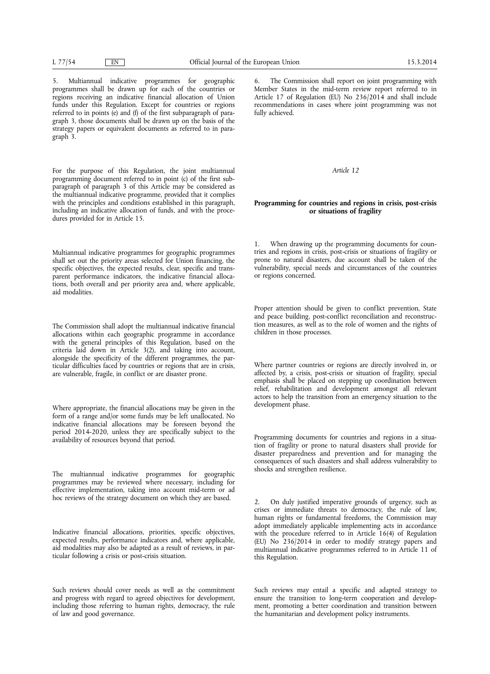5. Multiannual indicative programmes for geographic programmes shall be drawn up for each of the countries or regions receiving an indicative financial allocation of Union funds under this Regulation. Except for countries or regions referred to in points  $(e)$  and  $(f)$  of the first subparagraph of paragraph 3, those documents shall be drawn up on the basis of the strategy papers or equivalent documents as referred to in paragraph 3.

For the purpose of this Regulation, the joint multiannual programming document referred to in point (c) of the first subparagraph of paragraph 3 of this Article may be considered as the multiannual indicative programme, provided that it complies with the principles and conditions established in this paragraph, including an indicative allocation of funds, and with the procedures provided for in Article 15.

Multiannual indicative programmes for geographic programmes shall set out the priority areas selected for Union financing, the specific objectives, the expected results, clear, specific and transparent performance indicators, the indicative financial allocations, both overall and per priority area and, where applicable, aid modalities.

The Commission shall adopt the multiannual indicative financial allocations within each geographic programme in accordance with the general principles of this Regulation, based on the criteria laid down in Article 3(2), and taking into account, alongside the specificity of the different programmes, the particular difficulties faced by countries or regions that are in crisis, are vulnerable, fragile, in conflict or are disaster prone.

Where appropriate, the financial allocations may be given in the form of a range and/or some funds may be left unallocated. No indicative financial allocations may be foreseen beyond the period 2014-2020, unless they are specifically subject to the availability of resources beyond that period.

The multiannual indicative programmes for geographic programmes may be reviewed where necessary, including for effective implementation, taking into account mid-term or ad hoc reviews of the strategy document on which they are based.

Indicative financial allocations, priorities, specific objectives, expected results, performance indicators and, where applicable, aid modalities may also be adapted as a result of reviews, in particular following a crisis or post-crisis situation.

6. The Commission shall report on joint programming with Member States in the mid-term review report referred to in Article 17 of Regulation (EU) No 236/2014 and shall include recommendations in cases where joint programming was not fully achieved.

### *Article 12*

### **Programming for countries and regions in crisis, post-crisis or situations of fragility**

1. When drawing up the programming documents for countries and regions in crisis, post-crisis or situations of fragility or prone to natural disasters, due account shall be taken of the vulnerability, special needs and circumstances of the countries or regions concerned.

Proper attention should be given to conflict prevention, State and peace building, post-conflict reconciliation and reconstruction measures, as well as to the role of women and the rights of children in those processes.

Where partner countries or regions are directly involved in, or affected by, a crisis, post-crisis or situation of fragility, special emphasis shall be placed on stepping up coordination between relief, rehabilitation and development amongst all relevant actors to help the transition from an emergency situation to the development phase.

Programming documents for countries and regions in a situation of fragility or prone to natural disasters shall provide for disaster preparedness and prevention and for managing the consequences of such disasters and shall address vulnerability to shocks and strengthen resilience.

2. On duly justified imperative grounds of urgency, such as crises or immediate threats to democracy, the rule of law, human rights or fundamental freedoms, the Commission may adopt immediately applicable implementing acts in accordance with the procedure referred to in Article 16(4) of Regulation (EU) No 236/2014 in order to modify strategy papers and multiannual indicative programmes referred to in Article 11 of this Regulation.

Such reviews should cover needs as well as the commitment Such reviews may entail a specific and adapted strategy to and progress with regard to agreed objectives for development, ensure the transition to long-term coopera ensure the transition to long-term cooperation and developincluding those referring to human rights, democracy, the rule ment, promoting a better coordination and transition between of law and good governance. the humanitarian and development policy instruments.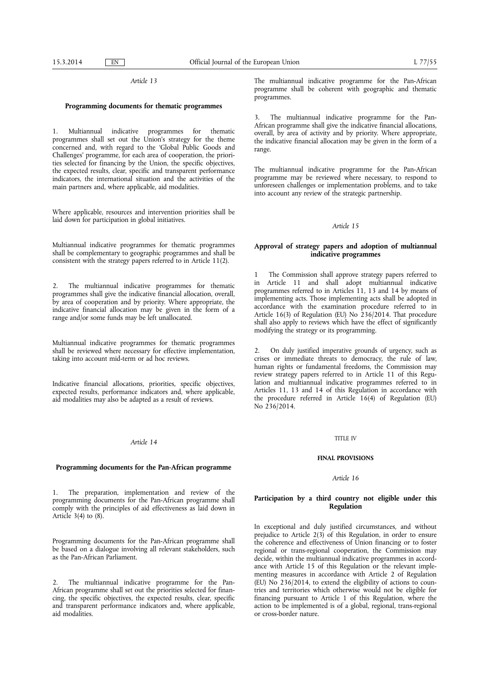### *Article 13*

### **Programming documents for thematic programmes**

1. Multiannual indicative programmes for thematic programmes shall set out the Union's strategy for the theme concerned and, with regard to the 'Global Public Goods and Challenges' programme, for each area of cooperation, the priorities selected for financing by the Union, the specific objectives, the expected results, clear, specific and transparent performance indicators, the international situation and the activities of the main partners and, where applicable, aid modalities.

Where applicable, resources and intervention priorities shall be laid down for participation in global initiatives.

Multiannual indicative programmes for thematic programmes shall be complementary to geographic programmes and shall be consistent with the strategy papers referred to in Article 11(2).

2. The multiannual indicative programmes for thematic programmes shall give the indicative financial allocation, overall, by area of cooperation and by priority. Where appropriate, the indicative financial allocation may be given in the form of a range and/or some funds may be left unallocated.

Multiannual indicative programmes for thematic programmes shall be reviewed where necessary for effective implementation, taking into account mid-term or ad hoc reviews.

Indicative financial allocations, priorities, specific objectives, expected results, performance indicators and, where applicable, aid modalities may also be adapted as a result of reviews.

### *Article 14*

### **Programming documents for the Pan-African programme**

The preparation, implementation and review of the programming documents for the Pan-African programme shall comply with the principles of aid effectiveness as laid down in Article 3(4) to (8).

Programming documents for the Pan-African programme shall be based on a dialogue involving all relevant stakeholders, such as the Pan-African Parliament.

2. The multiannual indicative programme for the Pan-African programme shall set out the priorities selected for financing, the specific objectives, the expected results, clear, specific and transparent performance indicators and, where applicable, aid modalities.

The multiannual indicative programme for the Pan-African programme shall be coherent with geographic and thematic programmes.

The multiannual indicative programme for the Pan-African programme shall give the indicative financial allocations, overall, by area of activity and by priority. Where appropriate, the indicative financial allocation may be given in the form of a range.

The multiannual indicative programme for the Pan-African programme may be reviewed where necessary, to respond to unforeseen challenges or implementation problems, and to take into account any review of the strategic partnership.

#### *Article 15*

# **Approval of strategy papers and adoption of multiannual indicative programmes**

1 The Commission shall approve strategy papers referred to in Article 11 and shall adopt multiannual indicative programmes referred to in Articles 11, 13 and 14 by means of implementing acts. Those implementing acts shall be adopted in accordance with the examination procedure referred to in Article 16(3) of Regulation (EU) No 236/2014. That procedure shall also apply to reviews which have the effect of significantly modifying the strategy or its programming.

2. On duly justified imperative grounds of urgency, such as crises or immediate threats to democracy, the rule of law, human rights or fundamental freedoms, the Commission may review strategy papers referred to in Article 11 of this Regulation and multiannual indicative programmes referred to in Articles 11, 13 and 14 of this Regulation in accordance with the procedure referred in Article 16(4) of Regulation (EU) No 236/2014.

### TITLE IV

#### **FINAL PROVISIONS**

### *Article 16*

# **Participation by a third country not eligible under this Regulation**

In exceptional and duly justified circumstances, and without prejudice to Article 2(3) of this Regulation, in order to ensure the coherence and effectiveness of Union financing or to foster regional or trans-regional cooperation, the Commission may decide, within the multiannual indicative programmes in accordance with Article 15 of this Regulation or the relevant implementing measures in accordance with Article 2 of Regulation (EU) No 236/2014, to extend the eligibility of actions to countries and territories which otherwise would not be eligible for financing pursuant to Article 1 of this Regulation, where the action to be implemented is of a global, regional, trans-regional or cross-border nature.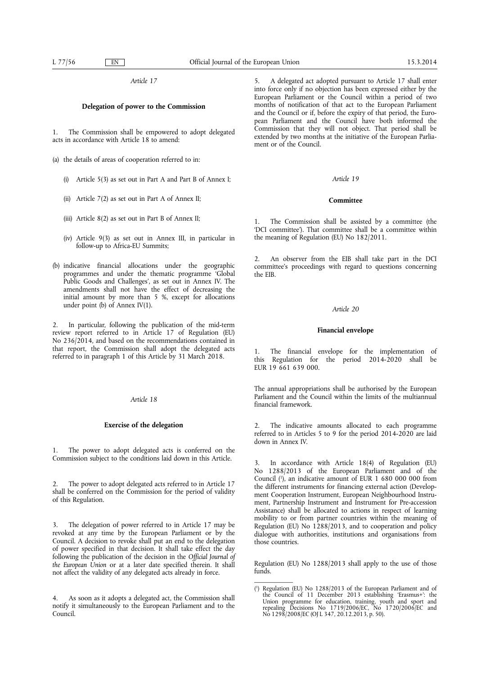*Article 17*

# **Delegation of power to the Commission**

1. The Commission shall be empowered to adopt delegated acts in accordance with Article 18 to amend:

(a) the details of areas of cooperation referred to in:

- (i) Article 5(3) as set out in Part A and Part B of Annex I;
- (ii) Article 7(2) as set out in Part A of Annex II;
- (iii) Article 8(2) as set out in Part B of Annex II;
- (iv) Article 9(3) as set out in Annex III, in particular in follow-up to Africa-EU Summits;
- (b) indicative financial allocations under the geographic programmes and under the thematic programme 'Global Public Goods and Challenges', as set out in Annex IV. The amendments shall not have the effect of decreasing the initial amount by more than 5 %, except for allocations under point (b) of Annex IV(1).

2. In particular, following the publication of the mid-term review report referred to in Article 17 of Regulation (EU) No 236/2014, and based on the recommendations contained in that report, the Commission shall adopt the delegated acts referred to in paragraph 1 of this Article by 31 March 2018.

#### *Article 18*

#### **Exercise of the delegation**

1. The power to adopt delegated acts is conferred on the Commission subject to the conditions laid down in this Article.

2. The power to adopt delegated acts referred to in Article 17 shall be conferred on the Commission for the period of validity of this Regulation.

3. The delegation of power referred to in Article 17 may be revoked at any time by the European Parliament or by the Council. A decision to revoke shall put an end to the delegation of power specified in that decision. It shall take effect the day following the publication of the decision in the *Official Journal of the European Union* or at a later date specified therein. It shall not affect the validity of any delegated acts already in force.

5. A delegated act adopted pursuant to Article 17 shall enter into force only if no objection has been expressed either by the European Parliament or the Council within a period of two months of notification of that act to the European Parliament and the Council or if, before the expiry of that period, the European Parliament and the Council have both informed the Commission that they will not object. That period shall be extended by two months at the initiative of the European Parliament or of the Council.

### *Article 19*

### **Committee**

1. The Commission shall be assisted by a committee (the 'DCI committee'). That committee shall be a committee within the meaning of Regulation (EU) No 182/2011.

2. An observer from the EIB shall take part in the DCI committee's proceedings with regard to questions concerning the EIB.

#### *Article 20*

### **Financial envelope**

1. The financial envelope for the implementation of this Regulation for the period 2014-2020 shall be EUR 19 661 639 000.

The annual appropriations shall be authorised by the European Parliament and the Council within the limits of the multiannual financial framework.

2. The indicative amounts allocated to each programme referred to in Articles 5 to 9 for the period 2014-2020 are laid down in Annex IV.

3. In accordance with Article 18(4) of Regulation (EU) No 1288/2013 of the European Parliament and of the Council ( 1 ), an indicative amount of EUR 1 680 000 000 from the different instruments for financing external action (Development Cooperation Instrument, European Neighbourhood Instrument, Partnership Instrument and Instrument for Pre-accession Assistance) shall be allocated to actions in respect of learning mobility to or from partner countries within the meaning of Regulation (EU) No 1288/2013, and to cooperation and policy dialogue with authorities, institutions and organisations from those countries.

Regulation (EU) No 1288/2013 shall apply to the use of those funds.

<sup>4.</sup> As soon as it adopts a delegated act, the Commission shall notify it simultaneously to the European Parliament and to the Council.

<sup>(</sup> 1 ) Regulation (EU) No 1288/2013 of the European Parliament and of the Council of 11 December 2013 establishing 'Erasmus+': the Union programme for education, training, youth and sport and repealing Decisions No 1719/2006/EC, No 1720/2006/EC and No 1298/2008/EC (OJ L 347, 20.12.2013, p. 50).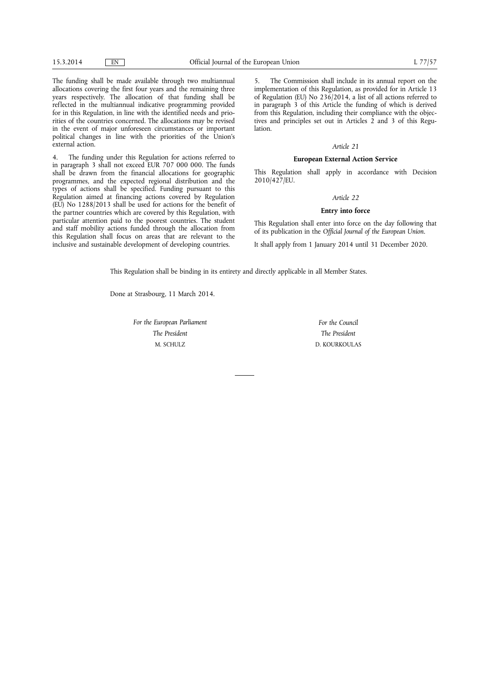The funding shall be made available through two multiannual allocations covering the first four years and the remaining three years respectively. The allocation of that funding shall be reflected in the multiannual indicative programming provided for in this Regulation, in line with the identified needs and priorities of the countries concerned. The allocations may be revised in the event of major unforeseen circumstances or important political changes in line with the priorities of the Union's external action.

4. The funding under this Regulation for actions referred to in paragraph 3 shall not exceed EUR 707 000 000. The funds shall be drawn from the financial allocations for geographic programmes, and the expected regional distribution and the types of actions shall be specified. Funding pursuant to this Regulation aimed at financing actions covered by Regulation (EU) No 1288/2013 shall be used for actions for the benefit of the partner countries which are covered by this Regulation, with particular attention paid to the poorest countries. The student and staff mobility actions funded through the allocation from this Regulation shall focus on areas that are relevant to the inclusive and sustainable development of developing countries.

5. The Commission shall include in its annual report on the implementation of this Regulation, as provided for in Article 13 of Regulation (EU) No  $23\overline{6}/2014$ , a list of all actions referred to in paragraph 3 of this Article the funding of which is derived from this Regulation, including their compliance with the objectives and principles set out in Articles 2 and 3 of this Regulation.

### *Article 21*

### **European External Action Service**

This Regulation shall apply in accordance with Decision 2010/427/EU.

### *Article 22*

## **Entry into force**

This Regulation shall enter into force on the day following that of its publication in the *Official Journal of the European Union*.

It shall apply from 1 January 2014 until 31 December 2020.

This Regulation shall be binding in its entirety and directly applicable in all Member States.

Done at Strasbourg, 11 March 2014.

*For the European Parliament For the Council The President The President* M. SCHULZ D. KOURKOULAS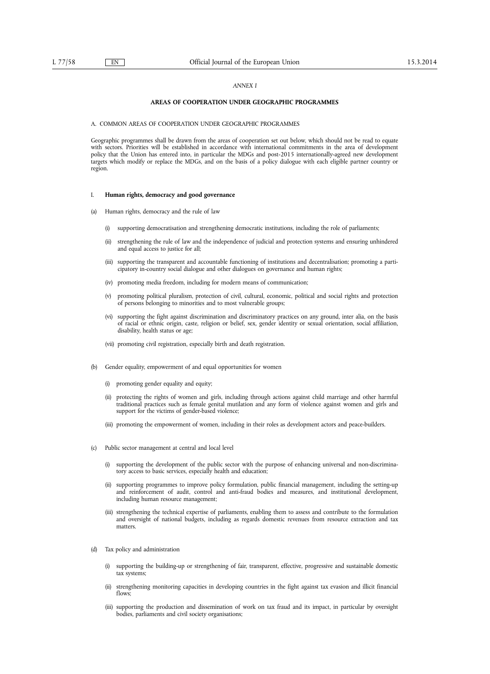## *ANNEX I*

### **AREAS OF COOPERATION UNDER GEOGRAPHIC PROGRAMMES**

A. COMMON AREAS OF COOPERATION UNDER GEOGRAPHIC PROGRAMMES

Geographic programmes shall be drawn from the areas of cooperation set out below, which should not be read to equate with sectors. Priorities will be established in accordance with international commitments in the area of development policy that the Union has entered into, in particular the MDGs and post-2015 internationally-agreed new development targets which modify or replace the MDGs, and on the basis of a policy dialogue with each eligible partner country or region.

#### I. **Human rights, democracy and good governance**

- (a) Human rights, democracy and the rule of law
	- (i) supporting democratisation and strengthening democratic institutions, including the role of parliaments;
	- (ii) strengthening the rule of law and the independence of judicial and protection systems and ensuring unhindered and equal access to justice for all;
	- (iii) supporting the transparent and accountable functioning of institutions and decentralisation; promoting a participatory in-country social dialogue and other dialogues on governance and human rights;
	- (iv) promoting media freedom, including for modern means of communication;
	- (v) promoting political pluralism, protection of civil, cultural, economic, political and social rights and protection of persons belonging to minorities and to most vulnerable groups;
	- (vi) supporting the fight against discrimination and discriminatory practices on any ground, inter alia, on the basis of racial or ethnic origin, caste, religion or belief, sex, gender identity or sexual orientation, social affiliation, disability, health status or age;
	- (vii) promoting civil registration, especially birth and death registration.
- (b) Gender equality, empowerment of and equal opportunities for women
	- (i) promoting gender equality and equity;
	- (ii) protecting the rights of women and girls, including through actions against child marriage and other harmful traditional practices such as female genital mutilation and any form of violence against women and girls and support for the victims of gender-based violence;
	- (iii) promoting the empowerment of women, including in their roles as development actors and peace-builders.
- (c) Public sector management at central and local level
	- supporting the development of the public sector with the purpose of enhancing universal and non-discriminatory access to basic services, especially health and education;
	- (ii) supporting programmes to improve policy formulation, public financial management, including the setting-up and reinforcement of audit, control and anti-fraud bodies and measures, and institutional development, including human resource management;
	- (iii) strengthening the technical expertise of parliaments, enabling them to assess and contribute to the formulation and oversight of national budgets, including as regards domestic revenues from resource extraction and tax matters.
- (d) Tax policy and administration
	- (i) supporting the building-up or strengthening of fair, transparent, effective, progressive and sustainable domestic tax systems;
	- (ii) strengthening monitoring capacities in developing countries in the fight against tax evasion and illicit financial flows;
	- (iii) supporting the production and dissemination of work on tax fraud and its impact, in particular by oversight bodies, parliaments and civil society organisations;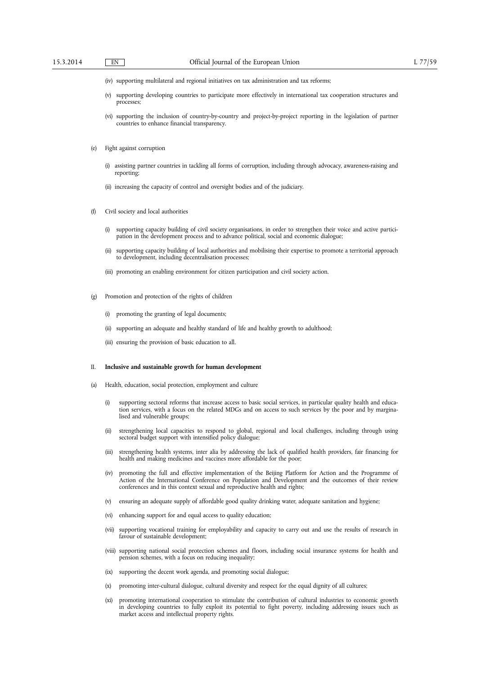- (iv) supporting multilateral and regional initiatives on tax administration and tax reforms;
- (v) supporting developing countries to participate more effectively in international tax cooperation structures and processes;
- (vi) supporting the inclusion of country-by-country and project-by-project reporting in the legislation of partner countries to enhance financial transparency.
- (e) Fight against corruption
	- (i) assisting partner countries in tackling all forms of corruption, including through advocacy, awareness-raising and reporting;
	- (ii) increasing the capacity of control and oversight bodies and of the judiciary.
- (f) Civil society and local authorities
	- (i) supporting capacity building of civil society organisations, in order to strengthen their voice and active participation in the development process and to advance political, social and economic dialogue;
	- (ii) supporting capacity building of local authorities and mobilising their expertise to promote a territorial approach to development, including decentralisation processes;
	- (iii) promoting an enabling environment for citizen participation and civil society action.
- (g) Promotion and protection of the rights of children
	- (i) promoting the granting of legal documents;
	- (ii) supporting an adequate and healthy standard of life and healthy growth to adulthood;
	- (iii) ensuring the provision of basic education to all.

### II. **Inclusive and sustainable growth for human development**

- (a) Health, education, social protection, employment and culture
	- (i) supporting sectoral reforms that increase access to basic social services, in particular quality health and education services, with a focus on the related MDGs and on access to such services by the poor and by marginalised and vulnerable groups;
	- (ii) strengthening local capacities to respond to global, regional and local challenges, including through using sectoral budget support with intensified policy dialogue;
	- (iii) strengthening health systems, inter alia by addressing the lack of qualified health providers, fair financing for health and making medicines and vaccines more affordable for the poor;
	- (iv) promoting the full and effective implementation of the Beijing Platform for Action and the Programme of Action of the International Conference on Population and Development and the outcomes of their review conferences and in this context sexual and reproductive health and rights;
	- (v) ensuring an adequate supply of affordable good quality drinking water, adequate sanitation and hygiene;
	- (vi) enhancing support for and equal access to quality education;
	- (vii) supporting vocational training for employability and capacity to carry out and use the results of research in favour of sustainable development;
	- (viii) supporting national social protection schemes and floors, including social insurance systems for health and pension schemes, with a focus on reducing inequality;
	- (ix) supporting the decent work agenda, and promoting social dialogue;
	- (x) promoting inter-cultural dialogue, cultural diversity and respect for the equal dignity of all cultures;
	- (xi) promoting international cooperation to stimulate the contribution of cultural industries to economic growth in developing countries to fully exploit its potential to fight poverty, including addressing issues such as market access and intellectual property rights.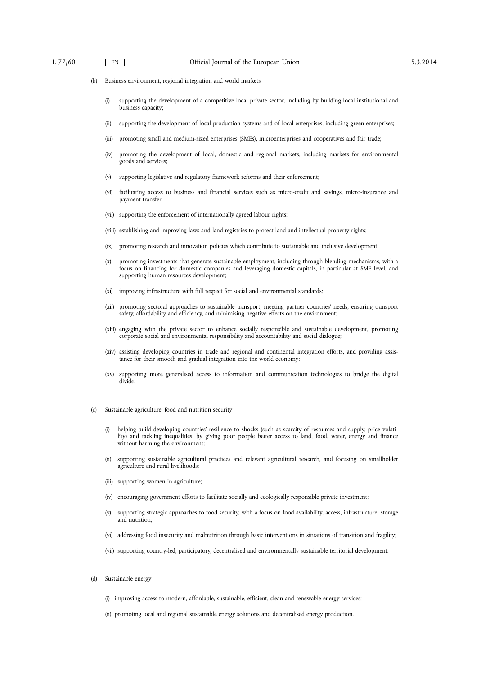- (b) Business environment, regional integration and world markets
	- (i) supporting the development of a competitive local private sector, including by building local institutional and business capacity;
	- (ii) supporting the development of local production systems and of local enterprises, including green enterprises;
	- (iii) promoting small and medium-sized enterprises (SMEs), microenterprises and cooperatives and fair trade;
	- (iv) promoting the development of local, domestic and regional markets, including markets for environmental goods and services;
	- (v) supporting legislative and regulatory framework reforms and their enforcement;
	- (vi) facilitating access to business and financial services such as micro-credit and savings, micro-insurance and payment transfer;
	- (vii) supporting the enforcement of internationally agreed labour rights;
	- (viii) establishing and improving laws and land registries to protect land and intellectual property rights;
	- (ix) promoting research and innovation policies which contribute to sustainable and inclusive development;
	- (x) promoting investments that generate sustainable employment, including through blending mechanisms, with a focus on financing for domestic companies and leveraging domestic capitals, in particular at SME level, and supporting human resources development;
	- (xi) improving infrastructure with full respect for social and environmental standards;
	- (xii) promoting sectoral approaches to sustainable transport, meeting partner countries' needs, ensuring transport safety, affordability and efficiency, and minimising negative effects on the environment;
	- (xiii) engaging with the private sector to enhance socially responsible and sustainable development, promoting corporate social and environmental responsibility and accountability and social dialogue;
	- (xiv) assisting developing countries in trade and regional and continental integration efforts, and providing assistance for their smooth and gradual integration into the world economy;
	- (xv) supporting more generalised access to information and communication technologies to bridge the digital divide.
- (c) Sustainable agriculture, food and nutrition security
	- (i) helping build developing countries' resilience to shocks (such as scarcity of resources and supply, price volatility) and tackling inequalities, by giving poor people better access to land, food, water, energy and finance without harming the environment;
	- (ii) supporting sustainable agricultural practices and relevant agricultural research, and focusing on smallholder agriculture and rural livelihoods;
	- (iii) supporting women in agriculture;
	- (iv) encouraging government efforts to facilitate socially and ecologically responsible private investment;
	- (v) supporting strategic approaches to food security, with a focus on food availability, access, infrastructure, storage and nutrition;
	- (vi) addressing food insecurity and malnutrition through basic interventions in situations of transition and fragility;
	- (vii) supporting country-led, participatory, decentralised and environmentally sustainable territorial development.
- (d) Sustainable energy
	- (i) improving access to modern, affordable, sustainable, efficient, clean and renewable energy services;
	- (ii) promoting local and regional sustainable energy solutions and decentralised energy production.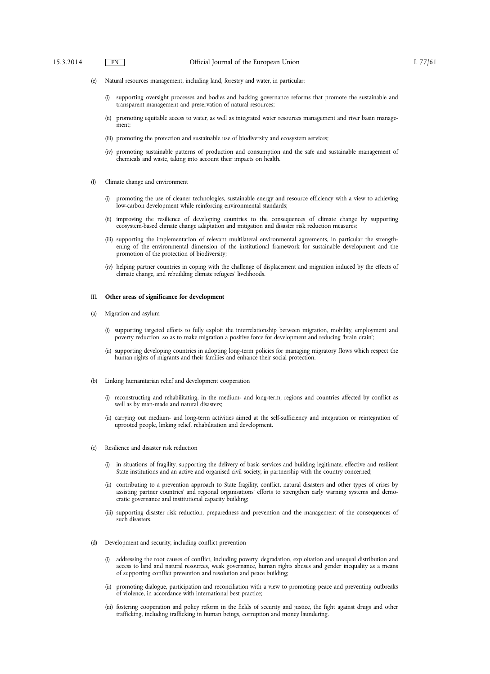- (e) Natural resources management, including land, forestry and water, in particular:
	- (i) supporting oversight processes and bodies and backing governance reforms that promote the sustainable and transparent management and preservation of natural resources;
	- (ii) promoting equitable access to water, as well as integrated water resources management and river basin management;
	- (iii) promoting the protection and sustainable use of biodiversity and ecosystem services;
	- (iv) promoting sustainable patterns of production and consumption and the safe and sustainable management of chemicals and waste, taking into account their impacts on health.
- (f) Climate change and environment
	- (i) promoting the use of cleaner technologies, sustainable energy and resource efficiency with a view to achieving low-carbon development while reinforcing environmental standards;
	- (ii) improving the resilience of developing countries to the consequences of climate change by supporting ecosystem-based climate change adaptation and mitigation and disaster risk reduction measures;
	- (iii) supporting the implementation of relevant multilateral environmental agreements, in particular the strengthening of the environmental dimension of the institutional framework for sustainable development and the promotion of the protection of biodiversity;
	- (iv) helping partner countries in coping with the challenge of displacement and migration induced by the effects of climate change, and rebuilding climate refugees' livelihoods.

### III. **Other areas of significance for development**

- (a) Migration and asylum
	- (i) supporting targeted efforts to fully exploit the interrelationship between migration, mobility, employment and poverty reduction, so as to make migration a positive force for development and reducing 'brain drain';
	- (ii) supporting developing countries in adopting long-term policies for managing migratory flows which respect the human rights of migrants and their families and enhance their social protection.
- (b) Linking humanitarian relief and development cooperation
	- (i) reconstructing and rehabilitating, in the medium- and long-term, regions and countries affected by conflict as well as by man-made and natural disasters;
	- (ii) carrying out medium- and long-term activities aimed at the self-sufficiency and integration or reintegration of uprooted people, linking relief, rehabilitation and development.
- (c) Resilience and disaster risk reduction
	- in situations of fragility, supporting the delivery of basic services and building legitimate, effective and resilient State institutions and an active and organised civil society, in partnership with the country concerned;
	- (ii) contributing to a prevention approach to State fragility, conflict, natural disasters and other types of crises by assisting partner countries' and regional organisations' efforts to strengthen early warning systems and democratic governance and institutional capacity building;
	- (iii) supporting disaster risk reduction, preparedness and prevention and the management of the consequences of such disasters.
- (d) Development and security, including conflict prevention
	- (i) addressing the root causes of conflict, including poverty, degradation, exploitation and unequal distribution and access to land and natural resources, weak governance, human rights abuses and gender inequality as a means of supporting conflict prevention and resolution and peace building;
	- (ii) promoting dialogue, participation and reconciliation with a view to promoting peace and preventing outbreaks of violence, in accordance with international best practice;
	- (iii) fostering cooperation and policy reform in the fields of security and justice, the fight against drugs and other trafficking, including trafficking in human beings, corruption and money laundering.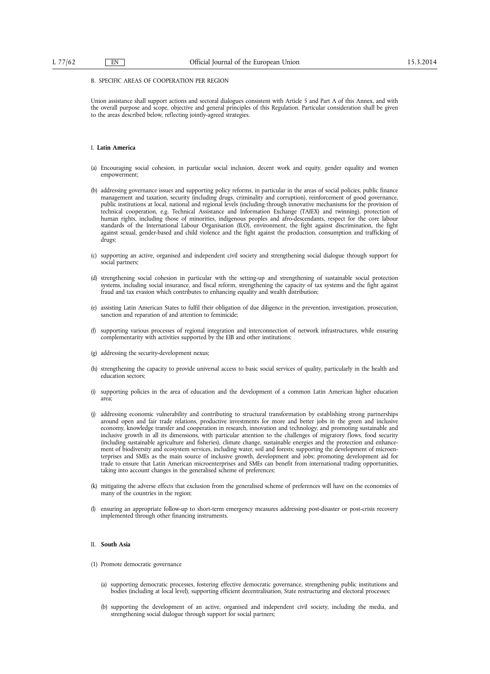#### B. SPECIFIC AREAS OF COOPERATION PER REGION

Union assistance shall support actions and sectoral dialogues consistent with Article 5 and Part A of this Annex, and with the overall purpose and scope, objective and general principles of this Regulation. Particular consideration shall be given to the areas described below, reflecting jointly-agreed strategies.

## I. **Latin America**

- (a) Encouraging social cohesion, in particular social inclusion, decent work and equity, gender equality and women empowerment;
- (b) addressing governance issues and supporting policy reforms, in particular in the areas of social policies, public finance management and taxation, security (including drugs, criminality and corruption), reinforcement of good governance, public institutions at local, national and regional levels (including through innovative mechanisms for the provision of technical cooperation, e.g. Technical Assistance and Information Exchange (TAIEX) and twinning), protection of human rights, including those of minorities, indigenous peoples and afro-descendants, respect for the core labour standards of the International Labour Organisation (ILO), environment, the fight against discrimination, the fight against sexual, gender-based and child violence and the fight against the production, consumption and trafficking of drugs;
- (c) supporting an active, organised and independent civil society and strengthening social dialogue through support for social partners;
- (d) strengthening social cohesion in particular with the setting-up and strengthening of sustainable social protection systems, including social insurance, and fiscal reform, strengthening the capacity of tax systems and the fight against fraud and tax evasion which contributes to enhancing equality and wealth distribution;
- (e) assisting Latin American States to fulfil their obligation of due diligence in the prevention, investigation, prosecution, sanction and reparation of and attention to feminicide;
- (f) supporting various processes of regional integration and interconnection of network infrastructures, while ensuring complementarity with activities supported by the EIB and other institutions;
- (g) addressing the security-development nexus;
- (h) strengthening the capacity to provide universal access to basic social services of quality, particularly in the health and education sectors;
- (i) supporting policies in the area of education and the development of a common Latin American higher education area;
- (j) addressing economic vulnerability and contributing to structural transformation by establishing strong partnerships around open and fair trade relations, productive investments for more and better jobs in the green and inclusive economy, knowledge transfer and cooperation in research, innovation and technology, and promoting sustainable and inclusive growth in all its dimensions, with particular attention to the challenges of migratory flows, food security (including sustainable agriculture and fisheries), climate change, sustainable energies and the protection and enhancement of biodiversity and ecosystem services, including water, soil and forests; supporting the development of microenterprises and SMEs as the main source of inclusive growth, development and jobs; promoting development aid for trade to ensure that Latin American microenterprises and SMEs can benefit from international trading opportunities, taking into account changes in the generalised scheme of preferences;
- (k) mitigating the adverse effects that exclusion from the generalised scheme of preferences will have on the economies of many of the countries in the region;
- ensuring an appropriate follow-up to short-term emergency measures addressing post-disaster or post-crisis recovery implemented through other financing instruments.

### II. **South Asia**

- (1) Promote democratic governance
	- (a) supporting democratic processes, fostering effective democratic governance, strengthening public institutions and bodies (including at local level), supporting efficient decentralisation, State restructuring and electoral processes;
	- (b) supporting the development of an active, organised and independent civil society, including the media, and strengthening social dialogue through support for social partners;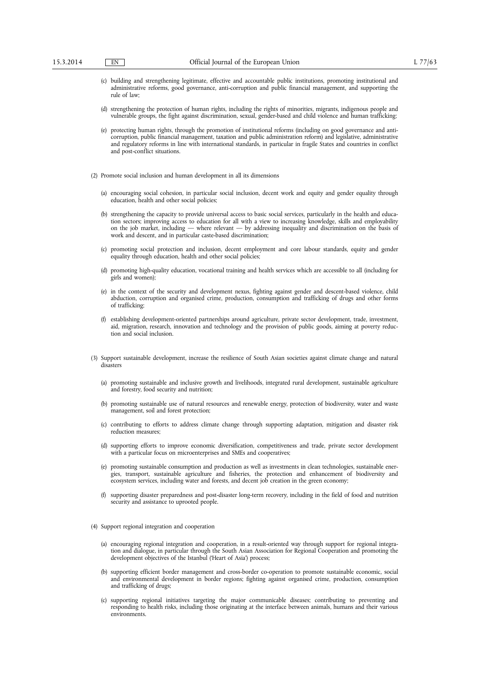- (c) building and strengthening legitimate, effective and accountable public institutions, promoting institutional and administrative reforms, good governance, anti-corruption and public financial management, and supporting the rule of law;
- (d) strengthening the protection of human rights, including the rights of minorities, migrants, indigenous people and vulnerable groups, the fight against discrimination, sexual, gender-based and child violence and human trafficking;
- (e) protecting human rights, through the promotion of institutional reforms (including on good governance and anticorruption, public financial management, taxation and public administration reform) and legislative, administrative and regulatory reforms in line with international standards, in particular in fragile States and countries in conflict and post-conflict situations.
- (2) Promote social inclusion and human development in all its dimensions
	- (a) encouraging social cohesion, in particular social inclusion, decent work and equity and gender equality through education, health and other social policies;
	- (b) strengthening the capacity to provide universal access to basic social services, particularly in the health and education sectors; improving access to education for all with a view to increasing knowledge, skills and employability on the job market, including — where relevant — by addressing inequality and discrimination on the basis of work and descent, and in particular caste-based discrimination;
	- (c) promoting social protection and inclusion, decent employment and core labour standards, equity and gender equality through education, health and other social policies;
	- (d) promoting high-quality education, vocational training and health services which are accessible to all (including for girls and women);
	- (e) in the context of the security and development nexus, fighting against gender and descent-based violence, child abduction, corruption and organised crime, production, consumption and trafficking of drugs and other forms of trafficking;
	- (f) establishing development-oriented partnerships around agriculture, private sector development, trade, investment, aid, migration, research, innovation and technology and the provision of public goods, aiming at poverty reduction and social inclusion.
- (3) Support sustainable development, increase the resilience of South Asian societies against climate change and natural disasters
	- (a) promoting sustainable and inclusive growth and livelihoods, integrated rural development, sustainable agriculture and forestry, food security and nutrition;
	- (b) promoting sustainable use of natural resources and renewable energy, protection of biodiversity, water and waste management, soil and forest protection;
	- (c) contributing to efforts to address climate change through supporting adaptation, mitigation and disaster risk reduction measures;
	- (d) supporting efforts to improve economic diversification, competitiveness and trade, private sector development with a particular focus on microenterprises and SMEs and cooperatives;
	- (e) promoting sustainable consumption and production as well as investments in clean technologies, sustainable energies, transport, sustainable agriculture and fisheries, the protection and enhancement of biodiversity and ecosystem services, including water and forests, and decent job creation in the green economy;
	- (f) supporting disaster preparedness and post-disaster long-term recovery, including in the field of food and nutrition security and assistance to uprooted people.
- (4) Support regional integration and cooperation
	- (a) encouraging regional integration and cooperation, in a result-oriented way through support for regional integration and dialogue, in particular through the South Asian Association for Regional Cooperation and promoting the development objectives of the Istanbul ('Heart of Asia') process;
	- (b) supporting efficient border management and cross-border co-operation to promote sustainable economic, social and environmental development in border regions; fighting against organised crime, production, consumption and trafficking of drugs;
	- (c) supporting regional initiatives targeting the major communicable diseases; contributing to preventing and responding to health risks, including those originating at the interface between animals, humans and their various environments.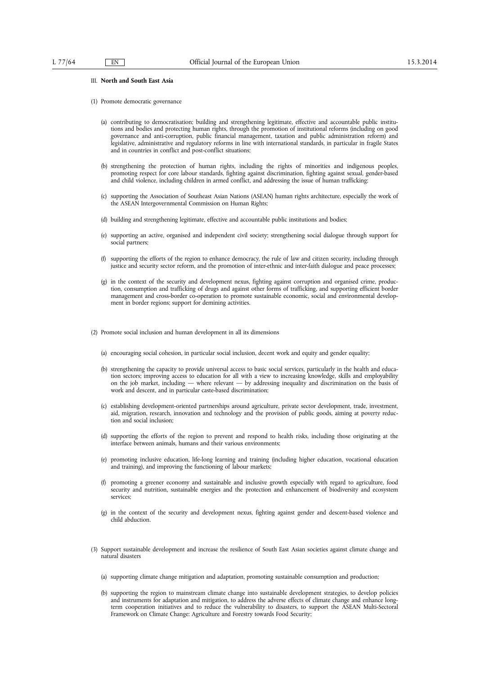#### III. **North and South East Asia**

- (1) Promote democratic governance
	- (a) contributing to democratisation; building and strengthening legitimate, effective and accountable public institutions and bodies and protecting human rights, through the promotion of institutional reforms (including on good governance and anti-corruption, public financial management, taxation and public administration reform) and legislative, administrative and regulatory reforms in line with international standards, in particular in fragile States and in countries in conflict and post-conflict situations;
	- (b) strengthening the protection of human rights, including the rights of minorities and indigenous peoples, promoting respect for core labour standards, fighting against discrimination, fighting against sexual, gender-based and child violence, including children in armed conflict, and addressing the issue of human trafficking;
	- (c) supporting the Association of Southeast Asian Nations (ASEAN) human rights architecture, especially the work of the ASEAN Intergovernmental Commission on Human Rights;
	- (d) building and strengthening legitimate, effective and accountable public institutions and bodies;
	- (e) supporting an active, organised and independent civil society; strengthening social dialogue through support for social partners;
	- (f) supporting the efforts of the region to enhance democracy, the rule of law and citizen security, including through justice and security sector reform, and the promotion of inter-ethnic and inter-faith dialogue and peace processes;
	- (g) in the context of the security and development nexus, fighting against corruption and organised crime, production, consumption and trafficking of drugs and against other forms of trafficking, and supporting efficient border management and cross-border co-operation to promote sustainable economic, social and environmental development in border regions; support for demining activities.
- (2) Promote social inclusion and human development in all its dimensions
	- (a) encouraging social cohesion, in particular social inclusion, decent work and equity and gender equality;
	- (b) strengthening the capacity to provide universal access to basic social services, particularly in the health and education sectors; improving access to education for all with a view to increasing knowledge, skills and employability on the job market, including — where relevant — by addressing inequality and discrimination on the basis of work and descent, and in particular caste-based discrimination;
	- (c) establishing development-oriented partnerships around agriculture, private sector development, trade, investment, aid, migration, research, innovation and technology and the provision of public goods, aiming at poverty reduction and social inclusion;
	- (d) supporting the efforts of the region to prevent and respond to health risks, including those originating at the interface between animals, humans and their various environments;
	- (e) promoting inclusive education, life-long learning and training (including higher education, vocational education and training), and improving the functioning of labour markets;
	- (f) promoting a greener economy and sustainable and inclusive growth especially with regard to agriculture, food security and nutrition, sustainable energies and the protection and enhancement of biodiversity and ecosystem services;
	- (g) in the context of the security and development nexus, fighting against gender and descent-based violence and child abduction.
- (3) Support sustainable development and increase the resilience of South East Asian societies against climate change and natural disasters
	- (a) supporting climate change mitigation and adaptation, promoting sustainable consumption and production;
	- (b) supporting the region to mainstream climate change into sustainable development strategies, to develop policies and instruments for adaptation and mitigation, to address the adverse effects of climate change and enhance longterm cooperation initiatives and to reduce the vulnerability to disasters, to support the ASEAN Multi-Sectoral Framework on Climate Change: Agriculture and Forestry towards Food Security;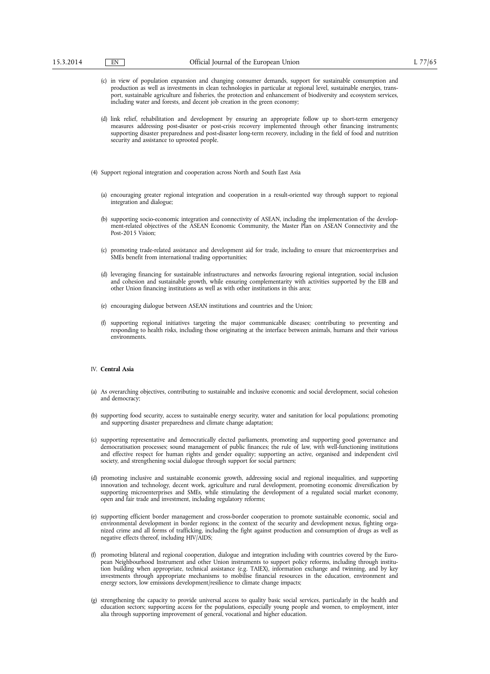- (c) in view of population expansion and changing consumer demands, support for sustainable consumption and production as well as investments in clean technologies in particular at regional level, sustainable energies, transport, sustainable agriculture and fisheries, the protection and enhancement of biodiversity and ecosystem services, including water and forests, and decent job creation in the green economy;
- (d) link relief, rehabilitation and development by ensuring an appropriate follow up to short-term emergency measures addressing post-disaster or post-crisis recovery implemented through other financing instruments; supporting disaster preparedness and post-disaster long-term recovery, including in the field of food and nutrition security and assistance to uprooted people.
- (4) Support regional integration and cooperation across North and South East Asia
	- (a) encouraging greater regional integration and cooperation in a result-oriented way through support to regional integration and dialogue;
	- (b) supporting socio-economic integration and connectivity of ASEAN, including the implementation of the development-related objectives of the ASEAN Economic Community, the Master Plan on ASEAN Connectivity and the Post-2015 Vision;
	- (c) promoting trade-related assistance and development aid for trade, including to ensure that microenterprises and SMEs benefit from international trading opportunities;
	- (d) leveraging financing for sustainable infrastructures and networks favouring regional integration, social inclusion and cohesion and sustainable growth, while ensuring complementarity with activities supported by the EIB and other Union financing institutions as well as with other institutions in this area;
	- (e) encouraging dialogue between ASEAN institutions and countries and the Union;
	- (f) supporting regional initiatives targeting the major communicable diseases; contributing to preventing and responding to health risks, including those originating at the interface between animals, humans and their various environments.

### IV. **Central Asia**

- (a) As overarching objectives, contributing to sustainable and inclusive economic and social development, social cohesion and democracy;
- (b) supporting food security, access to sustainable energy security, water and sanitation for local populations; promoting and supporting disaster preparedness and climate change adaptation;
- (c) supporting representative and democratically elected parliaments, promoting and supporting good governance and democratisation processes; sound management of public finances; the rule of law, with well-functioning institutions and effective respect for human rights and gender equality; supporting an active, organised and independent civil society, and strengthening social dialogue through support for social partners;
- (d) promoting inclusive and sustainable economic growth, addressing social and regional inequalities, and supporting innovation and technology, decent work, agriculture and rural development, promoting economic diversification by supporting microenterprises and SMEs, while stimulating the development of a regulated social market economy, open and fair trade and investment, including regulatory reforms;
- (e) supporting efficient border management and cross-border cooperation to promote sustainable economic, social and environmental development in border regions; in the context of the security and development nexus, fighting organized crime and all forms of trafficking, including the fight against production and consumption of drugs as well as negative effects thereof, including HIV/AIDS;
- (f) promoting bilateral and regional cooperation, dialogue and integration including with countries covered by the European Neighbourhood Instrument and other Union instruments to support policy reforms, including through institution building when appropriate, technical assistance (e.g. TAIEX), information exchange and twinning, and by key investments through appropriate mechanisms to mobilise financial resources in the education, environment and energy sectors, low emissions development/resilience to climate change impacts;
- (g) strengthening the capacity to provide universal access to quality basic social services, particularly in the health and education sectors; supporting access for the populations, especially young people and women, to employment, inter alia through supporting improvement of general, vocational and higher education.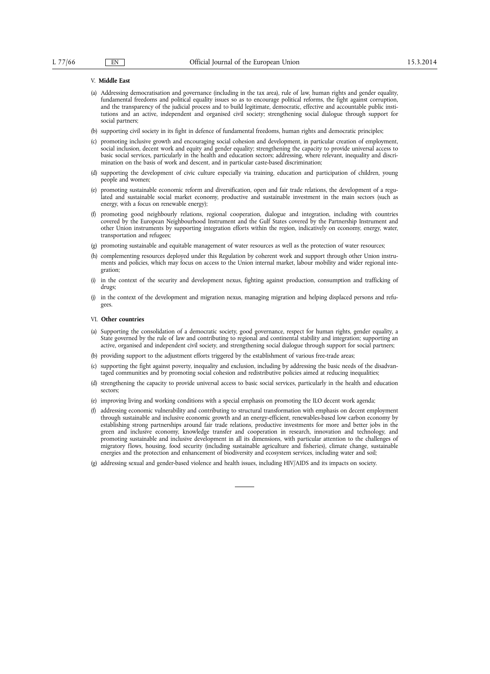### V. **Middle East**

- (a) Addressing democratisation and governance (including in the tax area), rule of law, human rights and gender equality, fundamental freedoms and political equality issues so as to encourage political reforms, the fight against corruption, and the transparency of the judicial process and to build legitimate, democratic, effective and accountable public institutions and an active, independent and organised civil society; strengthening social dialogue through support for social partners;
- (b) supporting civil society in its fight in defence of fundamental freedoms, human rights and democratic principles;
- (c) promoting inclusive growth and encouraging social cohesion and development, in particular creation of employment, social inclusion, decent work and equity and gender equality; strengthening the capacity to provide universal access to basic social services, particularly in the health and education sectors; addressing, where relevant, inequality and discrimination on the basis of work and descent, and in particular caste-based discrimination;
- (d) supporting the development of civic culture especially via training, education and participation of children, young people and women;
- (e) promoting sustainable economic reform and diversification, open and fair trade relations, the development of a regulated and sustainable social market economy, productive and sustainable investment in the main sectors (such as energy, with a focus on renewable energy);
- (f) promoting good neighbourly relations, regional cooperation, dialogue and integration, including with countries covered by the European Neighbourhood Instrument and the Gulf States covered by the Partnership Instrument and other Union instruments by supporting integration efforts within the region, indicatively on economy, energy, water, transportation and refugees;
- (g) promoting sustainable and equitable management of water resources as well as the protection of water resources;
- (h) complementing resources deployed under this Regulation by coherent work and support through other Union instruments and policies, which may focus on access to the Union internal market, labour mobility and wider regional integration;
- (i) in the context of the security and development nexus, fighting against production, consumption and trafficking of drugs;
- (j) in the context of the development and migration nexus, managing migration and helping displaced persons and refugees.

#### VI. **Other countries**

- (a) Supporting the consolidation of a democratic society, good governance, respect for human rights, gender equality, a State governed by the rule of law and contributing to regional and continental stability and integration; supporting an active, organised and independent civil society, and strengthening social dialogue through support for social partners;
- (b) providing support to the adjustment efforts triggered by the establishment of various free-trade areas;
- (c) supporting the fight against poverty, inequality and exclusion, including by addressing the basic needs of the disadvantaged communities and by promoting social cohesion and redistributive policies aimed at reducing inequalities;
- (d) strengthening the capacity to provide universal access to basic social services, particularly in the health and education sectors;
- (e) improving living and working conditions with a special emphasis on promoting the ILO decent work agenda;
- (f) addressing economic vulnerability and contributing to structural transformation with emphasis on decent employment through sustainable and inclusive economic growth and an energy-efficient, renewables-based low carbon economy by establishing strong partnerships around fair trade relations, productive investments for more and better jobs in the green and inclusive economy, knowledge transfer and cooperation in research, innovation and technology, and promoting sustainable and inclusive development in all its dimensions, with particular attention to the challenges of migratory flows, housing, food security (including sustainable agriculture and fisheries), climate change, sustainable energies and the protection and enhancement of biodiversity and ecosystem services, including water and soil;
- (g) addressing sexual and gender-based violence and health issues, including HIV/AIDS and its impacts on society.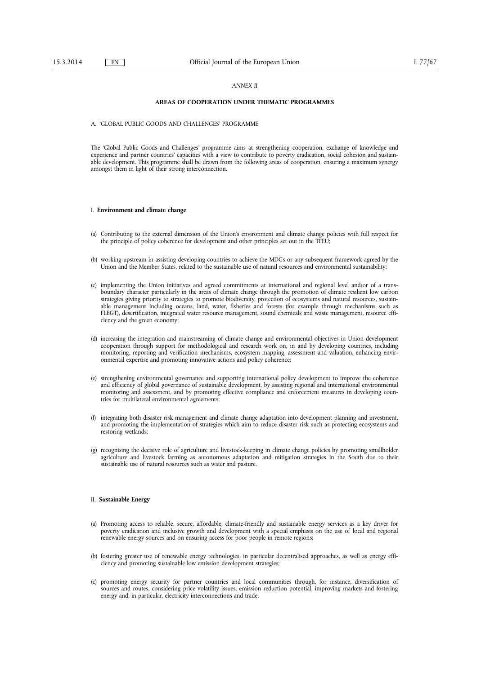### *ANNEX II*

### **AREAS OF COOPERATION UNDER THEMATIC PROGRAMMES**

A. 'GLOBAL PUBLIC GOODS AND CHALLENGES' PROGRAMME

The 'Global Public Goods and Challenges' programme aims at strengthening cooperation, exchange of knowledge and experience and partner countries' capacities with a view to contribute to poverty eradication, social cohesion and sustainable development. This programme shall be drawn from the following areas of cooperation, ensuring a maximum synergy amongst them in light of their strong interconnection.

#### I. **Environment and climate change**

- (a) Contributing to the external dimension of the Union's environment and climate change policies with full respect for the principle of policy coherence for development and other principles set out in the TFEU;
- (b) working upstream in assisting developing countries to achieve the MDGs or any subsequent framework agreed by the Union and the Member States, related to the sustainable use of natural resources and environmental sustainability;
- (c) implementing the Union initiatives and agreed commitments at international and regional level and/or of a transboundary character particularly in the areas of climate change through the promotion of climate resilient low carbon strategies giving priority to strategies to promote biodiversity, protection of ecosystems and natural resources, sustainable management including oceans, land, water, fisheries and forests (for example through mechanisms such as FLEGT), desertification, integrated water resource management, sound chemicals and waste management, resource efficiency and the green economy;
- (d) increasing the integration and mainstreaming of climate change and environmental objectives in Union development cooperation through support for methodological and research work on, in and by developing countries, including monitoring, reporting and verification mechanisms, ecosystem mapping, assessment and valuation, enhancing environmental expertise and promoting innovative actions and policy coherence;
- (e) strengthening environmental governance and supporting international policy development to improve the coherence and efficiency of global governance of sustainable development, by assisting regional and international environmental monitoring and assessment, and by promoting effective compliance and enforcement measures in developing countries for multilateral environmental agreements;
- (f) integrating both disaster risk management and climate change adaptation into development planning and investment, and promoting the implementation of strategies which aim to reduce disaster risk such as protecting ecosystems and restoring wetlands;
- (g) recognising the decisive role of agriculture and livestock-keeping in climate change policies by promoting smallholder agriculture and livestock farming as autonomous adaptation and mitigation strategies in the South due to their sustainable use of natural resources such as water and pasture.

#### II. **Sustainable Energy**

- (a) Promoting access to reliable, secure, affordable, climate-friendly and sustainable energy services as a key driver for poverty eradication and inclusive growth and development with a special emphasis on the use of local and regional renewable energy sources and on ensuring access for poor people in remote regions;
- (b) fostering greater use of renewable energy technologies, in particular decentralised approaches, as well as energy efficiency and promoting sustainable low emission development strategies;
- (c) promoting energy security for partner countries and local communities through, for instance, diversification of sources and routes, considering price volatility issues, emission reduction potential, improving markets and fostering energy and, in particular, electricity interconnections and trade.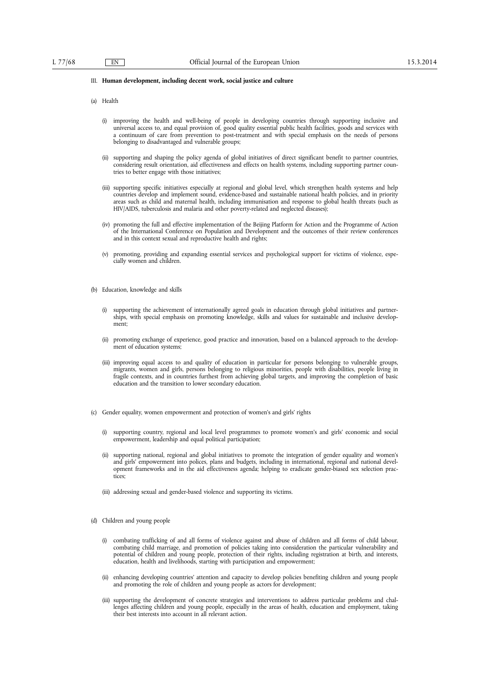#### III. **Human development, including decent work, social justice and culture**

#### (a) Health

- (i) improving the health and well-being of people in developing countries through supporting inclusive and universal access to, and equal provision of, good quality essential public health facilities, goods and services with a continuum of care from prevention to post-treatment and with special emphasis on the needs of persons belonging to disadvantaged and vulnerable groups;
- (ii) supporting and shaping the policy agenda of global initiatives of direct significant benefit to partner countries, considering result orientation, aid effectiveness and effects on health systems, including supporting partner countries to better engage with those initiatives;
- (iii) supporting specific initiatives especially at regional and global level, which strengthen health systems and help countries develop and implement sound, evidence-based and sustainable national health policies, and in priority areas such as child and maternal health, including immunisation and response to global health threats (such as HIV/AIDS, tuberculosis and malaria and other poverty-related and neglected diseases);
- (iv) promoting the full and effective implementation of the Beijing Platform for Action and the Programme of Action of the International Conference on Population and Development and the outcomes of their review conferences and in this context sexual and reproductive health and rights;
- promoting, providing and expanding essential services and psychological support for victims of violence, especially women and children.
- (b) Education, knowledge and skills
	- (i) supporting the achievement of internationally agreed goals in education through global initiatives and partnerships, with special emphasis on promoting knowledge, skills and values for sustainable and inclusive development;
	- (ii) promoting exchange of experience, good practice and innovation, based on a balanced approach to the development of education systems;
	- (iii) improving equal access to and quality of education in particular for persons belonging to vulnerable groups, migrants, women and girls, persons belonging to religious minorities, people with disabilities, people living in fragile contexts, and in countries furthest from achieving global targets, and improving the completion of basic education and the transition to lower secondary education.
- (c) Gender equality, women empowerment and protection of women's and girls' rights
	- (i) supporting country, regional and local level programmes to promote women's and girls' economic and social empowerment, leadership and equal political participation;
	- (ii) supporting national, regional and global initiatives to promote the integration of gender equality and women's and girls' empowerment into polices, plans and budgets, including in international, regional and national development frameworks and in the aid effectiveness agenda; helping to eradicate gender-biased sex selection practices;
	- (iii) addressing sexual and gender-based violence and supporting its victims.
- (d) Children and young people
	- (i) combating trafficking of and all forms of violence against and abuse of children and all forms of child labour, combating child marriage, and promotion of policies taking into consideration the particular vulnerability and potential of children and young people, protection of their rights, including registration at birth, and interests, education, health and livelihoods, starting with participation and empowerment;
	- (ii) enhancing developing countries' attention and capacity to develop policies benefiting children and young people and promoting the role of children and young people as actors for development;
	- (iii) supporting the development of concrete strategies and interventions to address particular problems and challenges affecting children and young people, especially in the areas of health, education and employment, taking their best interests into account in all relevant action.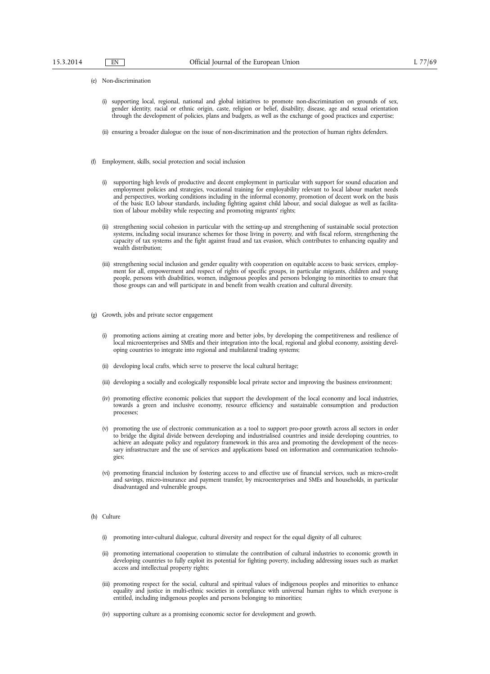- (e) Non-discrimination
	- (i) supporting local, regional, national and global initiatives to promote non-discrimination on grounds of sex, gender identity, racial or ethnic origin, caste, religion or belief, disability, disease, age and sexual orientation through the development of policies, plans and budgets, as well as the exchange of good practices and expertise;
	- (ii) ensuring a broader dialogue on the issue of non-discrimination and the protection of human rights defenders.
- (f) Employment, skills, social protection and social inclusion
	- (i) supporting high levels of productive and decent employment in particular with support for sound education and employment policies and strategies, vocational training for employability relevant to local labour market needs and perspectives, working conditions including in the informal economy, promotion of decent work on the basis of the basic ILO labour standards, including fighting against child labour, and social dialogue as well as facilitation of labour mobility while respecting and promoting migrants' rights;
	- (ii) strengthening social cohesion in particular with the setting-up and strengthening of sustainable social protection systems, including social insurance schemes for those living in poverty, and with fiscal reform, strengthening the capacity of tax systems and the fight against fraud and tax evasion, which contributes to enhancing equality and wealth distribution;
	- (iii) strengthening social inclusion and gender equality with cooperation on equitable access to basic services, employment for all, empowerment and respect of rights of specific groups, in particular migrants, children and young people, persons with disabilities, women, indigenous peoples and persons belonging to minorities to ensure that those groups can and will participate in and benefit from wealth creation and cultural diversity.
- (g) Growth, jobs and private sector engagement
	- (i) promoting actions aiming at creating more and better jobs, by developing the competitiveness and resilience of local microenterprises and SMEs and their integration into the local, regional and global economy, assisting developing countries to integrate into regional and multilateral trading systems;
	- (ii) developing local crafts, which serve to preserve the local cultural heritage;
	- (iii) developing a socially and ecologically responsible local private sector and improving the business environment;
	- (iv) promoting effective economic policies that support the development of the local economy and local industries, towards a green and inclusive economy, resource efficiency and sustainable consumption and production processes;
	- (v) promoting the use of electronic communication as a tool to support pro-poor growth across all sectors in order to bridge the digital divide between developing and industrialised countries and inside developing countries, to achieve an adequate policy and regulatory framework in this area and promoting the development of the necessary infrastructure and the use of services and applications based on information and communication technologies;
	- (vi) promoting financial inclusion by fostering access to and effective use of financial services, such as micro-credit and savings, micro-insurance and payment transfer, by microenterprises and SMEs and households, in particular disadvantaged and vulnerable groups.

#### (h) Culture

- (i) promoting inter-cultural dialogue, cultural diversity and respect for the equal dignity of all cultures;
- (ii) promoting international cooperation to stimulate the contribution of cultural industries to economic growth in developing countries to fully exploit its potential for fighting poverty, including addressing issues such as market access and intellectual property rights;
- (iii) promoting respect for the social, cultural and spiritual values of indigenous peoples and minorities to enhance equality and justice in multi-ethnic societies in compliance with universal human rights to which everyone is entitled, including indigenous peoples and persons belonging to minorities;
- (iv) supporting culture as a promising economic sector for development and growth.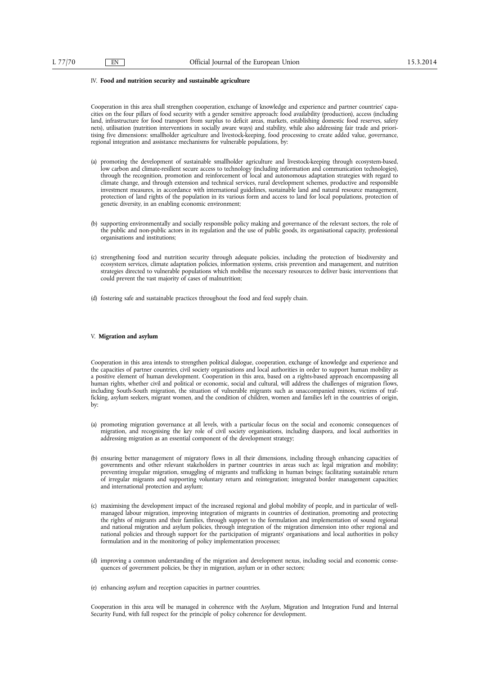#### IV. **Food and nutrition security and sustainable agriculture**

Cooperation in this area shall strengthen cooperation, exchange of knowledge and experience and partner countries' capacities on the four pillars of food security with a gender sensitive approach: food availability (production), access (including land, infrastructure for food transport from surplus to deficit areas, markets, establishing domestic food reserves, safety nets), utilisation (nutrition interventions in socially aware ways) and stability, while also addressing fair trade and prioritising five dimensions: smallholder agriculture and livestock-keeping, food processing to create added value, governance, regional integration and assistance mechanisms for vulnerable populations, by:

- (a) promoting the development of sustainable smallholder agriculture and livestock-keeping through ecosystem-based, low carbon and climate-resilient secure access to technology (including information and communication technologies), through the recognition, promotion and reinforcement of local and autonomous adaptation strategies with regard to climate change, and through extension and technical services, rural development schemes, productive and responsible investment measures, in accordance with international guidelines, sustainable land and natural resource management, protection of land rights of the population in its various form and access to land for local populations, protection of genetic diversity, in an enabling economic environment;
- (b) supporting environmentally and socially responsible policy making and governance of the relevant sectors, the role of the public and non-public actors in its regulation and the use of public goods, its organisational capacity, professional organisations and institutions;
- (c) strengthening food and nutrition security through adequate policies, including the protection of biodiversity and ecosystem services, climate adaptation policies, information systems, crisis prevention and management, and nutrition strategies directed to vulnerable populations which mobilise the necessary resources to deliver basic interventions that could prevent the vast majority of cases of malnutrition;
- (d) fostering safe and sustainable practices throughout the food and feed supply chain.

### V. **Migration and asylum**

Cooperation in this area intends to strengthen political dialogue, cooperation, exchange of knowledge and experience and the capacities of partner countries, civil society organisations and local authorities in order to support human mobility as a positive element of human development. Cooperation in this area, based on a rights-based approach encompassing all human rights, whether civil and political or economic, social and cultural, will address the challenges of migration flows, including South-South migration, the situation of vulnerable migrants such as unaccompanied minors, victims of trafficking, asylum seekers, migrant women, and the condition of children, women and families left in the countries of origin, by:

- (a) promoting migration governance at all levels, with a particular focus on the social and economic consequences of migration, and recognising the key role of civil society organisations, including diaspora, and local authorities in addressing migration as an essential component of the development strategy;
- (b) ensuring better management of migratory flows in all their dimensions, including through enhancing capacities of governments and other relevant stakeholders in partner countries in areas such as: legal migration and mobility; preventing irregular migration, smuggling of migrants and trafficking in human beings; facilitating sustainable return of irregular migrants and supporting voluntary return and reintegration; integrated border management capacities; and international protection and asylum;
- (c) maximising the development impact of the increased regional and global mobility of people, and in particular of wellmanaged labour migration, improving integration of migrants in countries of destination, promoting and protecting the rights of migrants and their families, through support to the formulation and implementation of sound regional and national migration and asylum policies, through integration of the migration dimension into other regional and national policies and through support for the participation of migrants' organisations and local authorities in policy formulation and in the monitoring of policy implementation processes;
- (d) improving a common understanding of the migration and development nexus, including social and economic consequences of government policies, be they in migration, asylum or in other sectors;
- (e) enhancing asylum and reception capacities in partner countries.

Cooperation in this area will be managed in coherence with the Asylum, Migration and Integration Fund and Internal Security Fund, with full respect for the principle of policy coherence for development.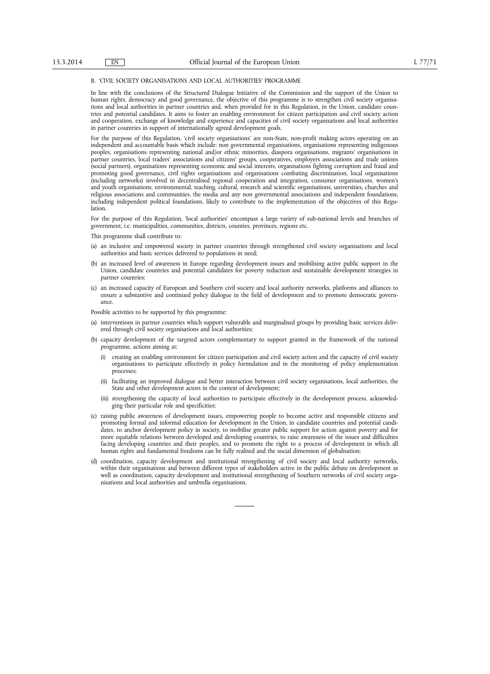#### B. 'CIVIL SOCIETY ORGANISATIONS AND LOCAL AUTHORITIES' PROGRAMME

In line with the conclusions of the Structured Dialogue Initiative of the Commission and the support of the Union to human rights, democracy and good governance, the objective of this programme is to strengthen civil society organisations and local authorities in partner countries and, when provided for in this Regulation, in the Union, candidate countries and potential candidates. It aims to foster an enabling environment for citizen participation and civil society action and cooperation, exchange of knowledge and experience and capacities of civil society organisations and local authorities in partner countries in support of internationally agreed development goals.

For the purpose of this Regulation, 'civil society organisations' are non-State, non-profit making actors operating on an independent and accountable basis which include: non governmental organisations, organisations representing indigenous peoples, organisations representing national and/or ethnic minorities, diaspora organisations, migrants' organisations in partner countries, local traders' associations and citizens' groups, cooperatives, employers associations and trade unions (social partners), organisations representing economic and social interests, organisations fighting corruption and fraud and promoting good governance, civil rights organisations and organisations combating discrimination, local organisations (including networks) involved in decentralised regional cooperation and integration, consumer organisations, women's and youth organisations, environmental, teaching, cultural, research and scientific organisations, universities, churches and religious associations and communities, the media and any non governmental associations and independent foundations, including independent political foundations, likely to contribute to the implementation of the objectives of this Regulation.

For the purpose of this Regulation, 'local authorities' encompass a large variety of sub-national levels and branches of government, i.e. municipalities, communities, districts, counties, provinces, regions etc.

This programme shall contribute to:

- (a) an inclusive and empowered society in partner countries through strengthened civil society organisations and local authorities and basic services delivered to populations in need;
- (b) an increased level of awareness in Europe regarding development issues and mobilising active public support in the Union, candidate countries and potential candidates for poverty reduction and sustainable development strategies in partner countries;
- (c) an increased capacity of European and Southern civil society and local authority networks, platforms and alliances to ensure a substantive and continued policy dialogue in the field of development and to promote democratic governance.

Possible activities to be supported by this programme:

- (a) interventions in partner countries which support vulnerable and marginalised groups by providing basic services delivered through civil society organisations and local authorities;
- (b) capacity development of the targeted actors complementary to support granted in the framework of the national programme, actions aiming at:
	- creating an enabling environment for citizen participation and civil society action and the capacity of civil society organisations to participate effectively in policy formulation and in the monitoring of policy implementation processes;
	- (ii) facilitating an improved dialogue and better interaction between civil society organisations, local authorities, the State and other development actors in the context of development;
	- (iii) strengthening the capacity of local authorities to participate effectively in the development process, acknowledging their particular role and specificities;
- (c) raising public awareness of development issues, empowering people to become active and responsible citizens and promoting formal and informal education for development in the Union, in candidate countries and potential candidates, to anchor development policy in society, to mobilise greater public support for action against poverty and for more equitable relations between developed and developing countries, to raise awareness of the issues and difficulties facing developing countries and their peoples, and to promote the right to a process of development in which all human rights and fundamental freedoms can be fully realised and the social dimension of globalisation;
- (d) coordination, capacity development and institutional strengthening of civil society and local authority networks, within their organisations and between different types of stakeholders active in the public debate on development as well as coordination, capacity development and institutional strengthening of Southern networks of civil society organisations and local authorities and umbrella organisations.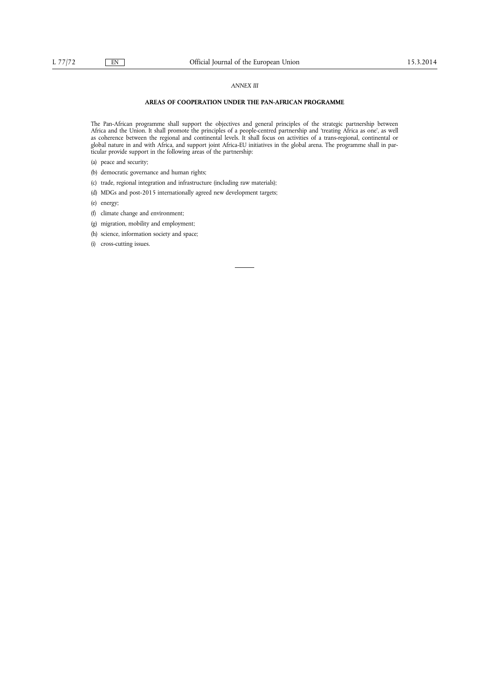# *ANNEX III*

# **AREAS OF COOPERATION UNDER THE PAN-AFRICAN PROGRAMME**

The Pan-African programme shall support the objectives and general principles of the strategic partnership between Africa and the Union. It shall promote the principles of a people-centred partnership and 'treating Africa as one', as well as coherence between the regional and continental levels. It shall focus on activities of a trans-regional, continental or global nature in and with Africa, and support joint Africa-EU initiatives in the global arena. The programme shall in particular provide support in the following areas of the partnership:

- (a) peace and security;
- (b) democratic governance and human rights;
- (c) trade, regional integration and infrastructure (including raw materials);
- (d) MDGs and post-2015 internationally agreed new development targets;
- (e) energy;
- (f) climate change and environment;
- (g) migration, mobility and employment;
- (h) science, information society and space;
- (i) cross-cutting issues.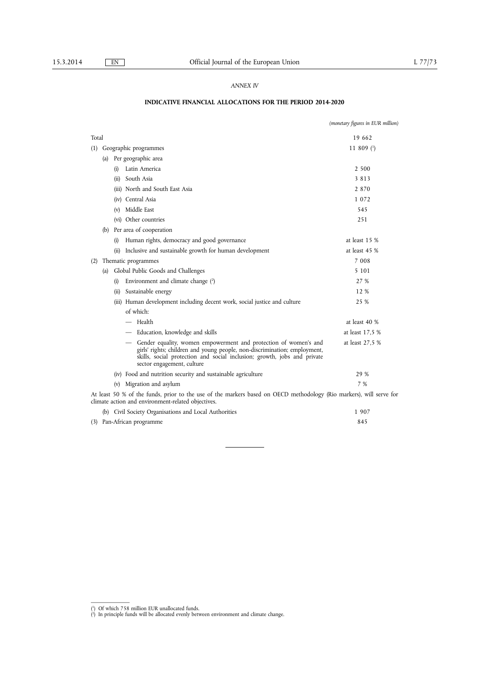# *ANNEX IV*

# **INDICATIVE FINANCIAL ALLOCATIONS FOR THE PERIOD 2014-2020**

|       |                     |                                    |                                                                                                                                                                                                                                                           | (monetary figures in EUR million) |
|-------|---------------------|------------------------------------|-----------------------------------------------------------------------------------------------------------------------------------------------------------------------------------------------------------------------------------------------------------|-----------------------------------|
| Total |                     |                                    |                                                                                                                                                                                                                                                           | 19 662                            |
| (1)   |                     |                                    | Geographic programmes                                                                                                                                                                                                                                     | 11 809 $(1)$                      |
|       | (a)                 |                                    | Per geographic area                                                                                                                                                                                                                                       |                                   |
|       |                     | (i)                                | Latin America                                                                                                                                                                                                                                             | 2 500                             |
|       |                     |                                    | (ii) South Asia                                                                                                                                                                                                                                           | 3813                              |
|       |                     |                                    | (iii) North and South East Asia                                                                                                                                                                                                                           | 2 8 7 0                           |
|       |                     |                                    | (iv) Central Asia                                                                                                                                                                                                                                         | 1 0 7 2                           |
|       |                     |                                    | (v) Middle East                                                                                                                                                                                                                                           | 545                               |
|       |                     |                                    | (vi) Other countries                                                                                                                                                                                                                                      | 251                               |
|       | (b)                 | Per area of cooperation            |                                                                                                                                                                                                                                                           |                                   |
|       |                     | (i)                                | Human rights, democracy and good governance                                                                                                                                                                                                               | at least 15 %                     |
|       |                     | (i)                                | Inclusive and sustainable growth for human development                                                                                                                                                                                                    | at least 45 %                     |
| (2)   | Thematic programmes |                                    |                                                                                                                                                                                                                                                           | 7 0 0 8                           |
|       | (a)                 | Global Public Goods and Challenges |                                                                                                                                                                                                                                                           | 5 101                             |
|       |                     | (i)                                | Environment and climate change $(2)$                                                                                                                                                                                                                      | 27 %                              |
|       |                     |                                    | (ii) Sustainable energy                                                                                                                                                                                                                                   | 12 %                              |
|       |                     |                                    | (iii) Human development including decent work, social justice and culture                                                                                                                                                                                 | 25 %                              |
|       |                     |                                    | of which:                                                                                                                                                                                                                                                 |                                   |
|       |                     |                                    | — Health                                                                                                                                                                                                                                                  | at least 40 %                     |
|       |                     |                                    | - Education, knowledge and skills                                                                                                                                                                                                                         | at least 17,5 %                   |
|       |                     |                                    | - Gender equality, women empowerment and protection of women's and<br>girls' rights; children and young people, non-discrimination; employment,<br>skills, social protection and social inclusion; growth, jobs and private<br>sector engagement, culture | at least 27,5 %                   |
|       |                     |                                    | (iv) Food and nutrition security and sustainable agriculture                                                                                                                                                                                              | 29 %                              |
|       |                     | (v)                                | Migration and asylum                                                                                                                                                                                                                                      | 7 %                               |
|       |                     |                                    | At least 50 % of the funds, prior to the use of the markers based on OECD methodology (Rio markers), will serve for<br>climate action and environment-related objectives.                                                                                 |                                   |
|       |                     |                                    | (b) Civil Society Organizations and Local Authorities                                                                                                                                                                                                     | 1.007                             |

| (b) Civil Society Organisations and Local Authorities | - 907 |
|-------------------------------------------------------|-------|
| (3) Pan-African programme                             | 84'   |

<sup>(</sup> 1 ) Of which 758 million EUR unallocated funds.

<sup>(</sup> 2 ) In principle funds will be allocated evenly between environment and climate change.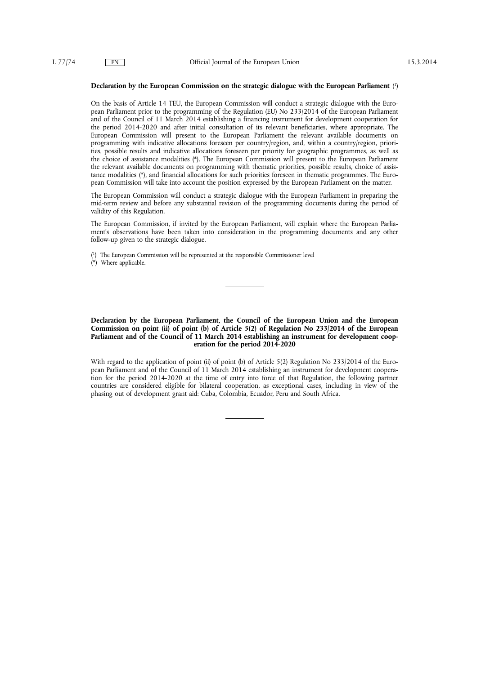### **Declaration by the European Commission on the strategic dialogue with the European Parliament** ( 1 )

On the basis of Article 14 TEU, the European Commission will conduct a strategic dialogue with the European Parliament prior to the programming of the Regulation (EU) No 233/2014 of the European Parliament and of the Council of 11 March 2014 establishing a financing instrument for development cooperation for the period 2014-2020 and after initial consultation of its relevant beneficiaries, where appropriate. The European Commission will present to the European Parliament the relevant available documents on programming with indicative allocations foreseen per country/region, and, within a country/region, priorities, possible results and indicative allocations foreseen per priority for geographic programmes, as well as the choice of assistance modalities (\*). The European Commission will present to the European Parliament the relevant available documents on programming with thematic priorities, possible results, choice of assistance modalities (\*), and financial allocations for such priorities foreseen in thematic programmes. The European Commission will take into account the position expressed by the European Parliament on the matter.

The European Commission will conduct a strategic dialogue with the European Parliament in preparing the mid-term review and before any substantial revision of the programming documents during the period of validity of this Regulation.

The European Commission, if invited by the European Parliament, will explain where the European Parliament's observations have been taken into consideration in the programming documents and any other follow-up given to the strategic dialogue.

( 1 ) The European Commission will be represented at the responsible Commissioner level

(\*) Where applicable.

# **Declaration by the European Parliament, the Council of the European Union and the European Commission on point (ii) of point (b) of Article 5(2) of Regulation No 233/2014 of the European Parliament and of the Council of 11 March 2014 establishing an instrument for development cooperation for the period 2014-2020**

With regard to the application of point (ii) of point (b) of Article 5(2) Regulation No 233/2014 of the European Parliament and of the Council of 11 March 2014 establishing an instrument for development cooperation for the period 2014-2020 at the time of entry into force of that Regulation, the following partner countries are considered eligible for bilateral cooperation, as exceptional cases, including in view of the phasing out of development grant aid: Cuba, Colombia, Ecuador, Peru and South Africa.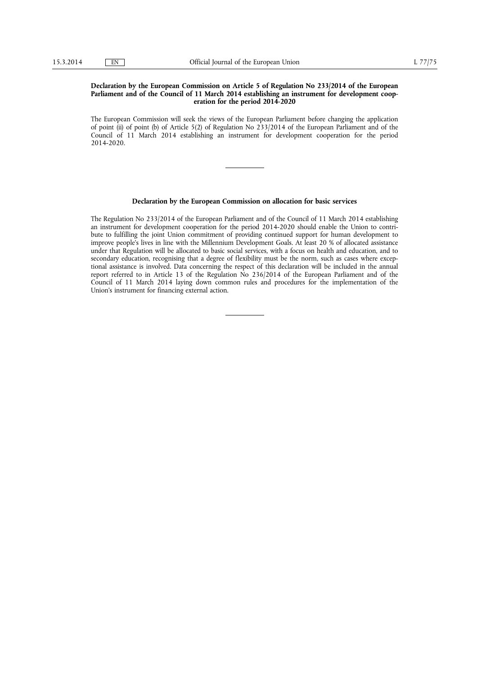# **Declaration by the European Commission on Article 5 of Regulation No 233/2014 of the European Parliament and of the Council of 11 March 2014 establishing an instrument for development cooperation for the period 2014-2020**

The European Commission will seek the views of the European Parliament before changing the application of point (ii) of point (b) of Article 5(2) of Regulation No 233/2014 of the European Parliament and of the Council of 11 March 2014 establishing an instrument for development cooperation for the period 2014-2020.

### **Declaration by the European Commission on allocation for basic services**

The Regulation No 233/2014 of the European Parliament and of the Council of 11 March 2014 establishing an instrument for development cooperation for the period 2014-2020 should enable the Union to contribute to fulfilling the joint Union commitment of providing continued support for human development to improve people's lives in line with the Millennium Development Goals. At least 20 % of allocated assistance under that Regulation will be allocated to basic social services, with a focus on health and education, and to secondary education, recognising that a degree of flexibility must be the norm, such as cases where exceptional assistance is involved. Data concerning the respect of this declaration will be included in the annual report referred to in Article 13 of the Regulation No 236/2014 of the European Parliament and of the Council of 11 March 2014 laying down common rules and procedures for the implementation of the Union's instrument for financing external action.